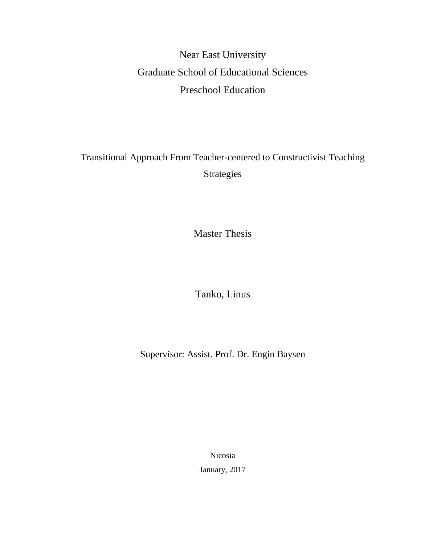Near East University Graduate School of Educational Sciences Preschool Education

Transitional Approach From Teacher-centered to Constructivist Teaching Strategies

Master Thesis

Tanko, Linus

Supervisor: Assist. Prof. Dr. Engin Baysen

Nicosia

January, 2017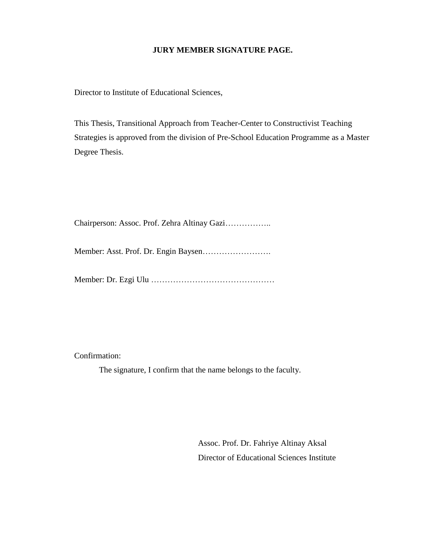## **JURY MEMBER SIGNATURE PAGE.**

Director to Institute of Educational Sciences,

This Thesis, Transitional Approach from Teacher-Center to Constructivist Teaching Strategies is approved from the division of Pre-School Education Programme as a Master Degree Thesis.

Chairperson: Assoc. Prof. Zehra Altinay Gazi……………..

Member: Asst. Prof. Dr. Engin Baysen…………………….

Member: Dr. Ezgi Ulu ………………………………………

Confirmation:

The signature, I confirm that the name belongs to the faculty.

Assoc. Prof. Dr. Fahriye Altinay Aksal Director of Educational Sciences Institute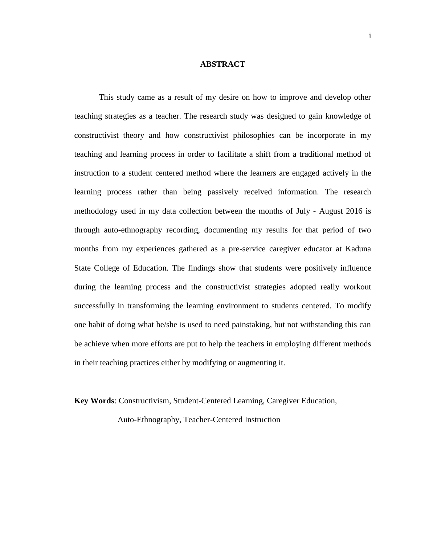### **ABSTRACT**

This study came as a result of my desire on how to improve and develop other teaching strategies as a teacher. The research study was designed to gain knowledge of constructivist theory and how constructivist philosophies can be incorporate in my teaching and learning process in order to facilitate a shift from a traditional method of instruction to a student centered method where the learners are engaged actively in the learning process rather than being passively received information. The research methodology used in my data collection between the months of July - August 2016 is through auto-ethnography recording, documenting my results for that period of two months from my experiences gathered as a pre-service caregiver educator at Kaduna State College of Education. The findings show that students were positively influence during the learning process and the constructivist strategies adopted really workout successfully in transforming the learning environment to students centered. To modify one habit of doing what he/she is used to need painstaking, but not withstanding this can be achieve when more efforts are put to help the teachers in employing different methods in their teaching practices either by modifying or augmenting it.

**Key Words**: Constructivism, Student-Centered Learning, Caregiver Education,

Auto-Ethnography, Teacher-Centered Instruction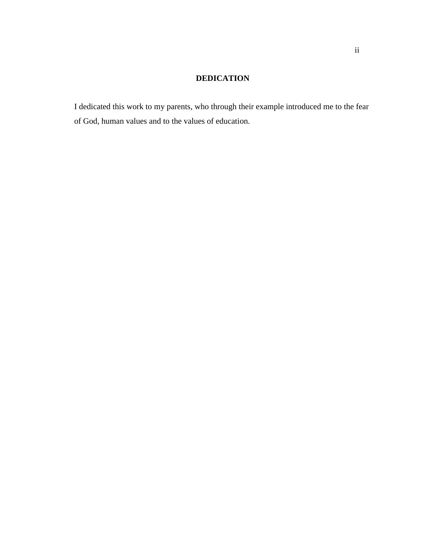## **DEDICATION**

I dedicated this work to my parents, who through their example introduced me to the fear of God, human values and to the values of education.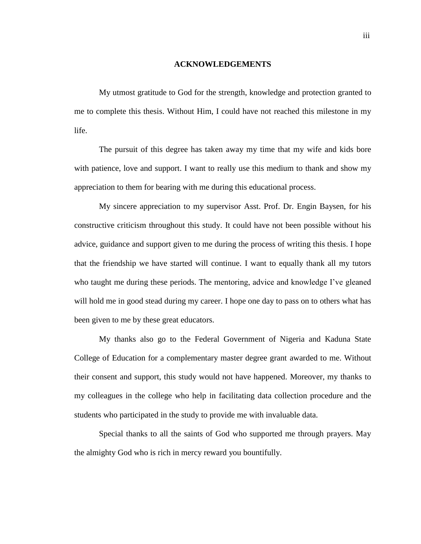#### **ACKNOWLEDGEMENTS**

My utmost gratitude to God for the strength, knowledge and protection granted to me to complete this thesis. Without Him, I could have not reached this milestone in my life.

The pursuit of this degree has taken away my time that my wife and kids bore with patience, love and support. I want to really use this medium to thank and show my appreciation to them for bearing with me during this educational process.

My sincere appreciation to my supervisor Asst. Prof. Dr. Engin Baysen, for his constructive criticism throughout this study. It could have not been possible without his advice, guidance and support given to me during the process of writing this thesis. I hope that the friendship we have started will continue. I want to equally thank all my tutors who taught me during these periods. The mentoring, advice and knowledge I've gleaned will hold me in good stead during my career. I hope one day to pass on to others what has been given to me by these great educators.

My thanks also go to the Federal Government of Nigeria and Kaduna State College of Education for a complementary master degree grant awarded to me. Without their consent and support, this study would not have happened. Moreover, my thanks to my colleagues in the college who help in facilitating data collection procedure and the students who participated in the study to provide me with invaluable data.

Special thanks to all the saints of God who supported me through prayers. May the almighty God who is rich in mercy reward you bountifully.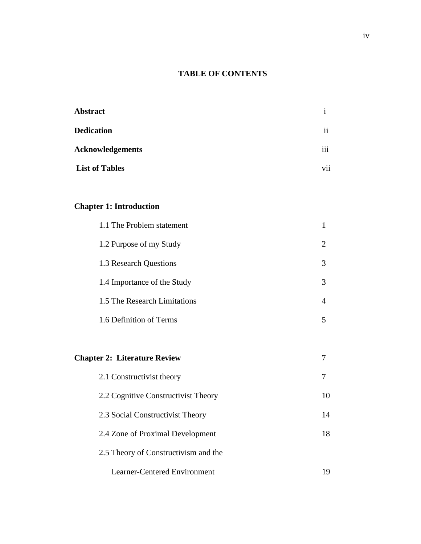# **TABLE OF CONTENTS**

| <b>Abstract</b>         |                     |
|-------------------------|---------------------|
| <b>Dedication</b>       | $\ddot{\mathbf{i}}$ |
| <b>Acknowledgements</b> | $\cdots$<br>111     |
| <b>List of Tables</b>   | $\ddotsc$<br>V11    |

# **Chapter 1: Introduction**

| 1.1 The Problem statement           |   |
|-------------------------------------|---|
| 1.2 Purpose of my Study             | 2 |
| 1.3 Research Questions              | 3 |
| 1.4 Importance of the Study         | 3 |
| 1.5 The Research Limitations        | 4 |
| 1.6 Definition of Terms             | 5 |
|                                     |   |
| <b>Chapter 2: Literature Review</b> |   |
| 2.1 Constructivist theory           |   |

| 2.2 Cognitive Constructivist Theory  |    |
|--------------------------------------|----|
| 2.3 Social Constructivist Theory     | 14 |
| 2.4 Zone of Proximal Development     | 18 |
| 2.5 Theory of Constructivism and the |    |
| Learner-Centered Environment         |    |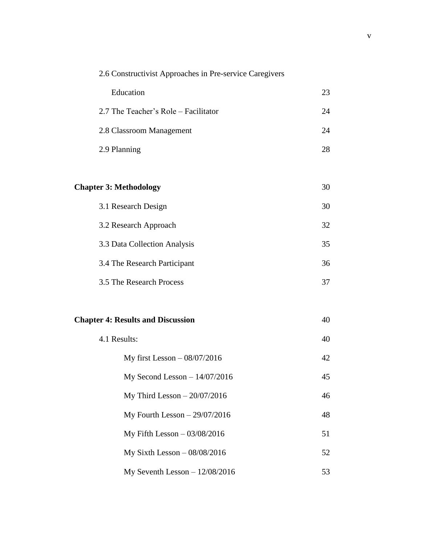| 2.6 Constructivist Approaches in Pre-service Caregivers |    |
|---------------------------------------------------------|----|
| Education                                               | 23 |
| 2.7 The Teacher's Role - Facilitator                    | 24 |
| 2.8 Classroom Management                                | 24 |
| 2.9 Planning                                            | 28 |
|                                                         |    |
| <b>Chapter 3: Methodology</b>                           | 30 |
| 3.1 Research Design                                     | 30 |
| 3.2 Research Approach                                   | 32 |
| 3.3 Data Collection Analysis                            | 35 |
| 3.4 The Research Participant                            | 36 |
| 3.5 The Research Process                                | 37 |
|                                                         |    |
| <b>Chapter 4: Results and Discussion</b>                | 40 |
| 4.1 Results:                                            | 40 |
| My first Lesson $-08/07/2016$                           | 42 |
| My Second Lesson $- 14/07/2016$                         | 45 |
| My Third Lesson $-20/07/2016$                           | 46 |
| My Fourth Lesson $-29/07/2016$                          | 48 |
| My Fifth Lesson $-03/08/2016$                           | 51 |
| My Sixth Lesson $-08/08/2016$                           | 52 |
| My Seventh Lesson $-12/08/2016$                         | 53 |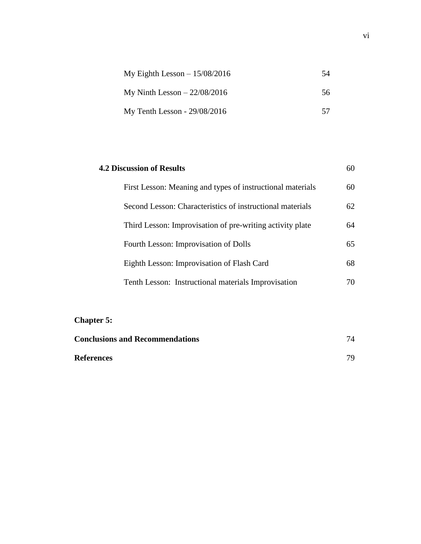| My Eighth Lesson $-15/08/2016$ | 54 |
|--------------------------------|----|
| My Ninth Lesson $-22/08/2016$  | 56 |
| My Tenth Lesson - 29/08/2016   | 57 |

| <b>4.2 Discussion of Results</b><br>60                     |    |
|------------------------------------------------------------|----|
| First Lesson: Meaning and types of instructional materials | 60 |
| Second Lesson: Characteristics of instructional materials  | 62 |
| Third Lesson: Improvisation of pre-writing activity plate  | 64 |
| Fourth Lesson: Improvisation of Dolls                      | 65 |
| Eighth Lesson: Improvisation of Flash Card                 | 68 |
| Tenth Lesson: Instructional materials Improvisation        | 70 |

# **Chapter 5:**

| <b>Conclusions and Recommendations</b> | 74 |
|----------------------------------------|----|
| References                             | 79 |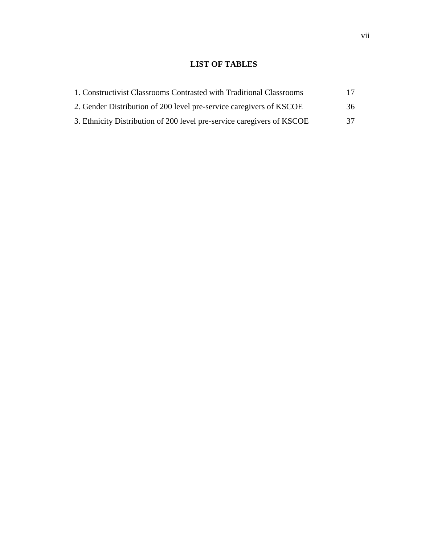## **LIST OF TABLES**

| 1. Constructivist Classrooms Contrasted with Traditional Classrooms    | 17 |
|------------------------------------------------------------------------|----|
| 2. Gender Distribution of 200 level pre-service caregivers of KSCOE    | 36 |
| 3. Ethnicity Distribution of 200 level pre-service caregivers of KSCOE | 37 |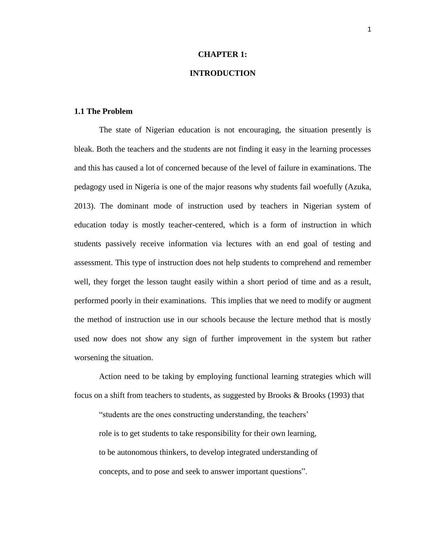## **CHAPTER 1:**

## **INTRODUCTION**

#### **1.1 The Problem**

The state of Nigerian education is not encouraging, the situation presently is bleak. Both the teachers and the students are not finding it easy in the learning processes and this has caused a lot of concerned because of the level of failure in examinations. The pedagogy used in Nigeria is one of the major reasons why students fail woefully (Azuka, 2013). The dominant mode of instruction used by teachers in Nigerian system of education today is mostly teacher-centered, which is a form of instruction in which students passively receive information via lectures with an end goal of testing and assessment. This type of instruction does not help students to comprehend and remember well, they forget the lesson taught easily within a short period of time and as a result, performed poorly in their examinations. This implies that we need to modify or augment the method of instruction use in our schools because the lecture method that is mostly used now does not show any sign of further improvement in the system but rather worsening the situation.

Action need to be taking by employing functional learning strategies which will focus on a shift from teachers to students, as suggested by Brooks  $\&$  Brooks (1993) that

"students are the ones constructing understanding, the teachers' role is to get students to take responsibility for their own learning, to be autonomous thinkers, to develop integrated understanding of concepts, and to pose and seek to answer important questions".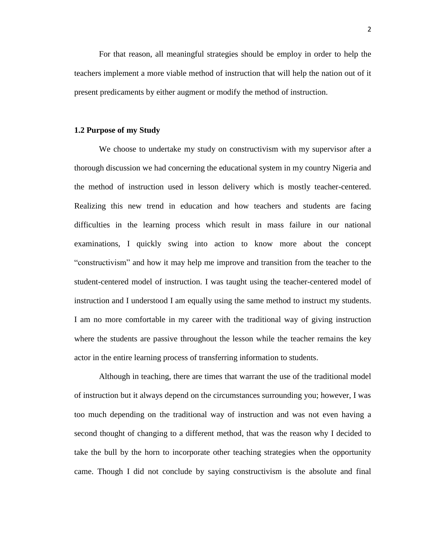For that reason, all meaningful strategies should be employ in order to help the teachers implement a more viable method of instruction that will help the nation out of it present predicaments by either augment or modify the method of instruction.

#### **1.2 Purpose of my Study**

We choose to undertake my study on constructivism with my supervisor after a thorough discussion we had concerning the educational system in my country Nigeria and the method of instruction used in lesson delivery which is mostly teacher-centered. Realizing this new trend in education and how teachers and students are facing difficulties in the learning process which result in mass failure in our national examinations, I quickly swing into action to know more about the concept "constructivism" and how it may help me improve and transition from the teacher to the student-centered model of instruction. I was taught using the teacher-centered model of instruction and I understood I am equally using the same method to instruct my students. I am no more comfortable in my career with the traditional way of giving instruction where the students are passive throughout the lesson while the teacher remains the key actor in the entire learning process of transferring information to students.

Although in teaching, there are times that warrant the use of the traditional model of instruction but it always depend on the circumstances surrounding you; however, I was too much depending on the traditional way of instruction and was not even having a second thought of changing to a different method, that was the reason why I decided to take the bull by the horn to incorporate other teaching strategies when the opportunity came. Though I did not conclude by saying constructivism is the absolute and final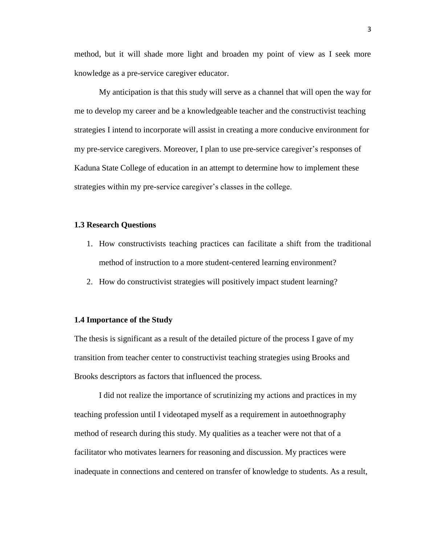method, but it will shade more light and broaden my point of view as I seek more knowledge as a pre-service caregiver educator.

My anticipation is that this study will serve as a channel that will open the way for me to develop my career and be a knowledgeable teacher and the constructivist teaching strategies I intend to incorporate will assist in creating a more conducive environment for my pre-service caregivers. Moreover, I plan to use pre-service caregiver's responses of Kaduna State College of education in an attempt to determine how to implement these strategies within my pre-service caregiver's classes in the college.

#### **1.3 Research Questions**

- 1. How constructivists teaching practices can facilitate a shift from the traditional method of instruction to a more student-centered learning environment?
- 2. How do constructivist strategies will positively impact student learning?

#### **1.4 Importance of the Study**

The thesis is significant as a result of the detailed picture of the process I gave of my transition from teacher center to constructivist teaching strategies using Brooks and Brooks descriptors as factors that influenced the process.

I did not realize the importance of scrutinizing my actions and practices in my teaching profession until I videotaped myself as a requirement in autoethnography method of research during this study. My qualities as a teacher were not that of a facilitator who motivates learners for reasoning and discussion. My practices were inadequate in connections and centered on transfer of knowledge to students. As a result,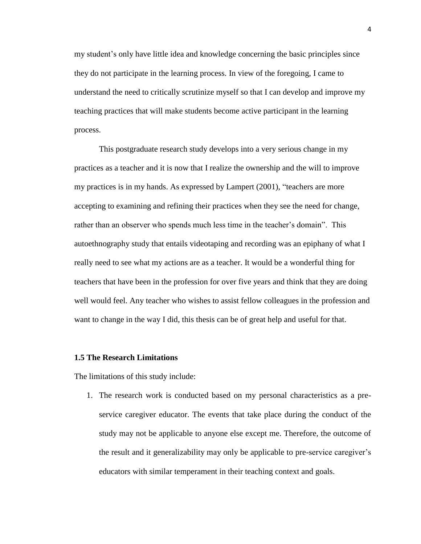my student's only have little idea and knowledge concerning the basic principles since they do not participate in the learning process. In view of the foregoing, I came to understand the need to critically scrutinize myself so that I can develop and improve my teaching practices that will make students become active participant in the learning process.

This postgraduate research study develops into a very serious change in my practices as a teacher and it is now that I realize the ownership and the will to improve my practices is in my hands. As expressed by Lampert (2001), "teachers are more accepting to examining and refining their practices when they see the need for change, rather than an observer who spends much less time in the teacher's domain". This autoethnography study that entails videotaping and recording was an epiphany of what I really need to see what my actions are as a teacher. It would be a wonderful thing for teachers that have been in the profession for over five years and think that they are doing well would feel. Any teacher who wishes to assist fellow colleagues in the profession and want to change in the way I did, this thesis can be of great help and useful for that.

#### **1.5 The Research Limitations**

The limitations of this study include:

1. The research work is conducted based on my personal characteristics as a preservice caregiver educator. The events that take place during the conduct of the study may not be applicable to anyone else except me. Therefore, the outcome of the result and it generalizability may only be applicable to pre-service caregiver's educators with similar temperament in their teaching context and goals.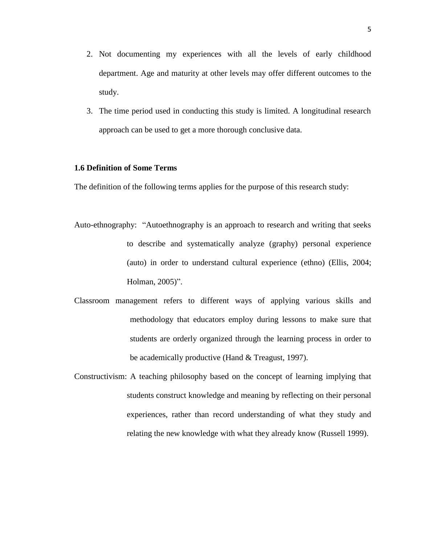- 2. Not documenting my experiences with all the levels of early childhood department. Age and maturity at other levels may offer different outcomes to the study.
- 3. The time period used in conducting this study is limited. A longitudinal research approach can be used to get a more thorough conclusive data.

## **1.6 Definition of Some Terms**

The definition of the following terms applies for the purpose of this research study:

- Auto-ethnography: "Autoethnography is an approach to research and writing that seeks to describe and systematically analyze (graphy) personal experience (auto) in order to understand cultural experience (ethno) (Ellis, 2004; Holman, 2005)".
- Classroom management refers to different ways of applying various skills and methodology that educators employ during lessons to make sure that students are orderly organized through the learning process in order to be academically productive (Hand & Treagust, 1997).
- Constructivism: A teaching philosophy based on the concept of learning implying that students construct knowledge and meaning by reflecting on their personal experiences, rather than record understanding of what they study and relating the new knowledge with what they already know (Russell 1999).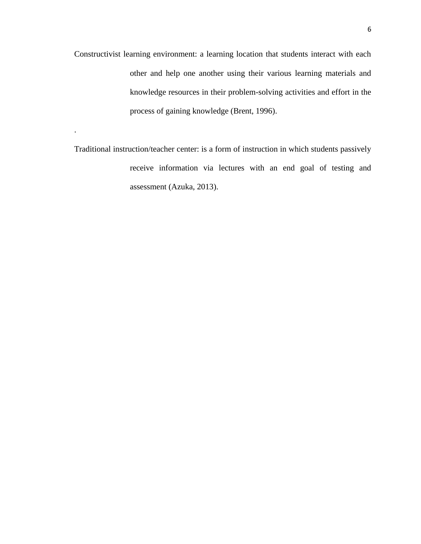Constructivist learning environment: a learning location that students interact with each other and help one another using their various learning materials and knowledge resources in their problem-solving activities and effort in the process of gaining knowledge (Brent, 1996).

Traditional instruction/teacher center: is a form of instruction in which students passively receive information via lectures with an end goal of testing and assessment (Azuka, 2013).

.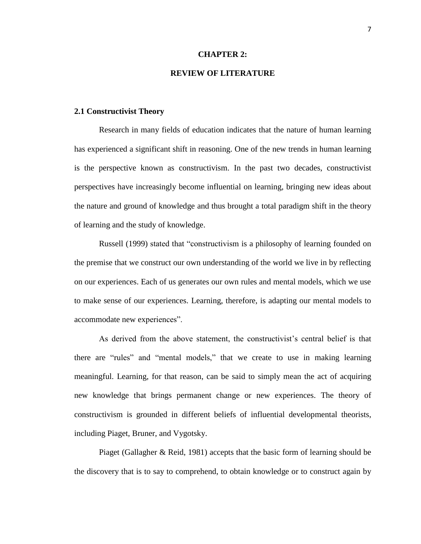#### **CHAPTER 2:**

## **REVIEW OF LITERATURE**

#### **2.1 Constructivist Theory**

Research in many fields of education indicates that the nature of human learning has experienced a significant shift in reasoning. One of the new trends in human learning is the perspective known as constructivism. In the past two decades, constructivist perspectives have increasingly become influential on learning, bringing new ideas about the nature and ground of knowledge and thus brought a total paradigm shift in the theory of learning and the study of knowledge.

Russell (1999) stated that "constructivism is a philosophy of learning founded on the premise that we construct our own understanding of the world we live in by reflecting on our experiences. Each of us generates our own rules and mental models, which we use to make sense of our experiences. Learning, therefore, is adapting our mental models to accommodate new experiences".

As derived from the above statement, the constructivist's central belief is that there are "rules" and "mental models," that we create to use in making learning meaningful. Learning, for that reason, can be said to simply mean the act of acquiring new knowledge that brings permanent change or new experiences. The theory of constructivism is grounded in different beliefs of influential developmental theorists, including Piaget, Bruner, and Vygotsky.

Piaget (Gallagher & Reid, 1981) accepts that the basic form of learning should be the discovery that is to say to comprehend, to obtain knowledge or to construct again by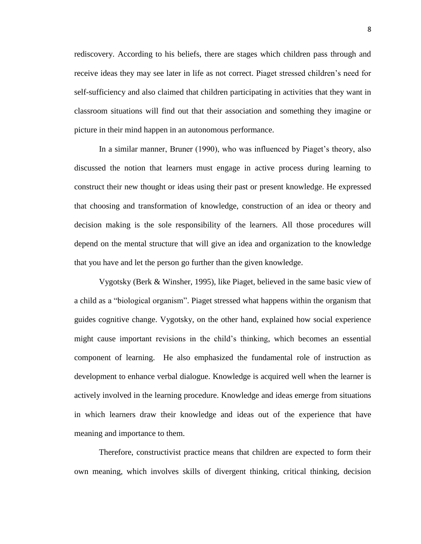rediscovery. According to his beliefs, there are stages which children pass through and receive ideas they may see later in life as not correct. Piaget stressed children's need for self-sufficiency and also claimed that children participating in activities that they want in classroom situations will find out that their association and something they imagine or picture in their mind happen in an autonomous performance.

In a similar manner, Bruner (1990), who was influenced by Piaget's theory, also discussed the notion that learners must engage in active process during learning to construct their new thought or ideas using their past or present knowledge. He expressed that choosing and transformation of knowledge, construction of an idea or theory and decision making is the sole responsibility of the learners. All those procedures will depend on the mental structure that will give an idea and organization to the knowledge that you have and let the person go further than the given knowledge.

Vygotsky (Berk & Winsher, 1995), like Piaget, believed in the same basic view of a child as a "biological organism". Piaget stressed what happens within the organism that guides cognitive change. Vygotsky, on the other hand, explained how social experience might cause important revisions in the child's thinking, which becomes an essential component of learning. He also emphasized the fundamental role of instruction as development to enhance verbal dialogue. Knowledge is acquired well when the learner is actively involved in the learning procedure. Knowledge and ideas emerge from situations in which learners draw their knowledge and ideas out of the experience that have meaning and importance to them.

Therefore, constructivist practice means that children are expected to form their own meaning, which involves skills of divergent thinking, critical thinking, decision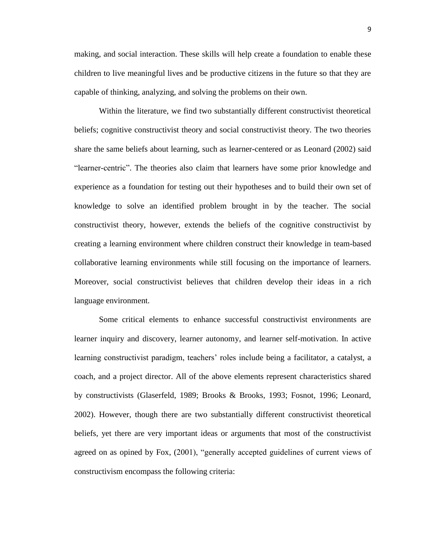making, and social interaction. These skills will help create a foundation to enable these children to live meaningful lives and be productive citizens in the future so that they are capable of thinking, analyzing, and solving the problems on their own.

Within the literature, we find two substantially different constructivist theoretical beliefs; cognitive constructivist theory and social constructivist theory. The two theories share the same beliefs about learning, such as learner-centered or as Leonard (2002) said "learner-centric". The theories also claim that learners have some prior knowledge and experience as a foundation for testing out their hypotheses and to build their own set of knowledge to solve an identified problem brought in by the teacher. The social constructivist theory, however, extends the beliefs of the cognitive constructivist by creating a learning environment where children construct their knowledge in team-based collaborative learning environments while still focusing on the importance of learners. Moreover, social constructivist believes that children develop their ideas in a rich language environment.

Some critical elements to enhance successful constructivist environments are learner inquiry and discovery, learner autonomy, and learner self-motivation. In active learning constructivist paradigm, teachers' roles include being a facilitator, a catalyst, a coach, and a project director. All of the above elements represent characteristics shared by constructivists (Glaserfeld, 1989; Brooks & Brooks, 1993; Fosnot, 1996; Leonard, 2002). However, though there are two substantially different constructivist theoretical beliefs, yet there are very important ideas or arguments that most of the constructivist agreed on as opined by Fox, (2001), "generally accepted guidelines of current views of constructivism encompass the following criteria: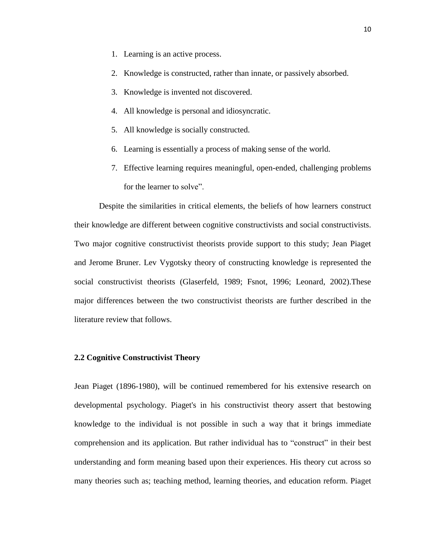- 1. Learning is an active process.
- 2. Knowledge is constructed, rather than innate, or passively absorbed.
- 3. Knowledge is invented not discovered.
- 4. All knowledge is personal and idiosyncratic.
- 5. All knowledge is socially constructed.
- 6. Learning is essentially a process of making sense of the world.
- 7. Effective learning requires meaningful, open-ended, challenging problems for the learner to solve".

Despite the similarities in critical elements, the beliefs of how learners construct their knowledge are different between cognitive constructivists and social constructivists. Two major cognitive constructivist theorists provide support to this study; Jean Piaget and Jerome Bruner. Lev Vygotsky theory of constructing knowledge is represented the social constructivist theorists (Glaserfeld, 1989; Fsnot, 1996; Leonard, 2002).These major differences between the two constructivist theorists are further described in the literature review that follows.

#### **2.2 Cognitive Constructivist Theory**

Jean Piaget (1896-1980), will be continued remembered for his extensive research on developmental psychology. Piaget's in his constructivist theory assert that bestowing knowledge to the individual is not possible in such a way that it brings immediate comprehension and its application. But rather individual has to "construct" in their best understanding and form meaning based upon their experiences. His theory cut across so many theories such as; teaching method, learning theories, and education reform. Piaget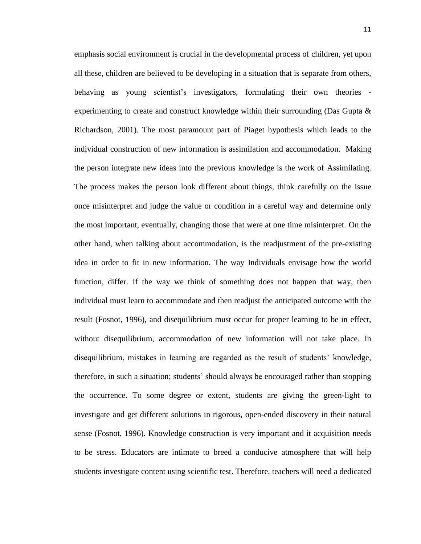emphasis social environment is crucial in the developmental process of children, yet upon all these, children are believed to be developing in a situation that is separate from others, behaving as young scientist's investigators, formulating their own theories experimenting to create and construct knowledge within their surrounding (Das Gupta  $\&$ Richardson, 2001). The most paramount part of Piaget hypothesis which leads to the individual construction of new information is assimilation and accommodation. Making the person integrate new ideas into the previous knowledge is the work of Assimilating. The process makes the person look different about things, think carefully on the issue once misinterpret and judge the value or condition in a careful way and determine only the most important, eventually, changing those that were at one time misinterpret. On the other hand, when talking about accommodation, is the readjustment of the pre-existing idea in order to fit in new information. The way Individuals envisage how the world function, differ. If the way we think of something does not happen that way, then individual must learn to accommodate and then readjust the anticipated outcome with the result (Fosnot, 1996), and disequilibrium must occur for proper learning to be in effect, without disequilibrium, accommodation of new information will not take place. In disequilibrium, mistakes in learning are regarded as the result of students' knowledge, therefore, in such a situation; students' should always be encouraged rather than stopping the occurrence. To some degree or extent, students are giving the green-light to investigate and get different solutions in rigorous, open-ended discovery in their natural sense (Fosnot, 1996). Knowledge construction is very important and it acquisition needs to be stress. Educators are intimate to breed a conducive atmosphere that will help students investigate content using scientific test. Therefore, teachers will need a dedicated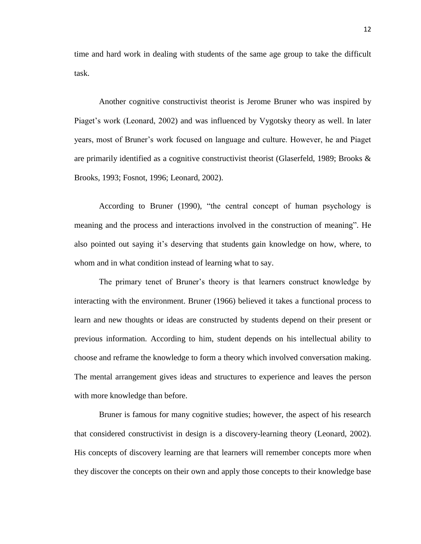time and hard work in dealing with students of the same age group to take the difficult task.

Another cognitive constructivist theorist is Jerome Bruner who was inspired by Piaget's work (Leonard, 2002) and was influenced by Vygotsky theory as well. In later years, most of Bruner's work focused on language and culture. However, he and Piaget are primarily identified as a cognitive constructivist theorist (Glaserfeld, 1989; Brooks & Brooks, 1993; Fosnot, 1996; Leonard, 2002).

According to Bruner (1990), "the central concept of human psychology is meaning and the process and interactions involved in the construction of meaning". He also pointed out saying it's deserving that students gain knowledge on how, where, to whom and in what condition instead of learning what to say.

The primary tenet of Bruner's theory is that learners construct knowledge by interacting with the environment. Bruner (1966) believed it takes a functional process to learn and new thoughts or ideas are constructed by students depend on their present or previous information. According to him, student depends on his intellectual ability to choose and reframe the knowledge to form a theory which involved conversation making. The mental arrangement gives ideas and structures to experience and leaves the person with more knowledge than before.

Bruner is famous for many cognitive studies; however, the aspect of his research that considered constructivist in design is a discovery-learning theory (Leonard, 2002). His concepts of discovery learning are that learners will remember concepts more when they discover the concepts on their own and apply those concepts to their knowledge base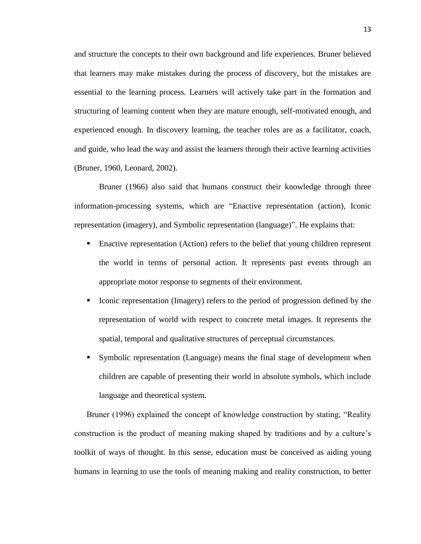and structure the concepts to their own background and life experiences. Bruner believed that learners may make mistakes during the process of discovery, but the mistakes are essential to the learning process. Learners will actively take part in the formation and structuring of learning content when they are mature enough, self-motivated enough, and experienced enough. In discovery learning, the teacher roles are as a facilitator, coach, and guide, who lead the way and assist the learners through their active learning activities (Bruner, 1960, Leonard, 2002).

Bruner (1966) also said that humans construct their knowledge through three information-processing systems, which are "Enactive representation (action), Iconic representation (imagery), and Symbolic representation (language)". He explains that:

- Enactive representation (Action) refers to the belief that young children represent the world in terms of personal action. It represents past events through an appropriate motor response to segments of their environment.
- Iconic representation (Imagery) refers to the period of progression defined by the representation of world with respect to concrete metal images. It represents the spatial, temporal and qualitative structures of perceptual circumstances.
- Symbolic representation (Language) means the final stage of development when children are capable of presenting their world in absolute symbols, which include language and theoretical system.

Bruner (1996) explained the concept of knowledge construction by stating, "Reality construction is the product of meaning making shaped by traditions and by a culture's toolkit of ways of thought. In this sense, education must be conceived as aiding young humans in learning to use the tools of meaning making and reality construction, to better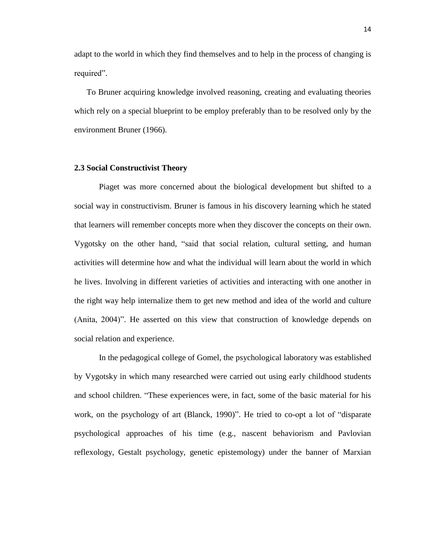adapt to the world in which they find themselves and to help in the process of changing is required".

To Bruner acquiring knowledge involved reasoning, creating and evaluating theories which rely on a special blueprint to be employ preferably than to be resolved only by the environment Bruner (1966).

#### **2.3 Social Constructivist Theory**

Piaget was more concerned about the biological development but shifted to a social way in constructivism. Bruner is famous in his discovery learning which he stated that learners will remember concepts more when they discover the concepts on their own. Vygotsky on the other hand, "said that social relation, cultural setting, and human activities will determine how and what the individual will learn about the world in which he lives. Involving in different varieties of activities and interacting with one another in the right way help internalize them to get new method and idea of the world and culture (Anita, 2004)". He asserted on this view that construction of knowledge depends on social relation and experience.

In the pedagogical college of Gomel, the psychological laboratory was established by Vygotsky in which many researched were carried out using early childhood students and school children. "These experiences were, in fact, some of the basic material for his work, on the psychology of art (Blanck, 1990)". He tried to co-opt a lot of "disparate psychological approaches of his time (e.g., nascent behaviorism and Pavlovian reflexology, Gestalt psychology, genetic epistemology) under the banner of Marxian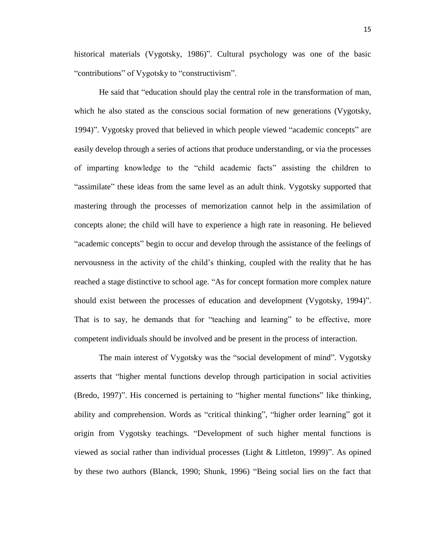historical materials (Vygotsky, 1986)". Cultural psychology was one of the basic "contributions" of Vygotsky to "constructivism".

He said that "education should play the central role in the transformation of man, which he also stated as the conscious social formation of new generations (Vygotsky, 1994)". Vygotsky proved that believed in which people viewed "academic concepts" are easily develop through a series of actions that produce understanding, or via the processes of imparting knowledge to the "child academic facts" assisting the children to "assimilate" these ideas from the same level as an adult think. Vygotsky supported that mastering through the processes of memorization cannot help in the assimilation of concepts alone; the child will have to experience a high rate in reasoning. He believed "academic concepts" begin to occur and develop through the assistance of the feelings of nervousness in the activity of the child's thinking, coupled with the reality that he has reached a stage distinctive to school age. "As for concept formation more complex nature should exist between the processes of education and development (Vygotsky, 1994)". That is to say, he demands that for "teaching and learning" to be effective, more competent individuals should be involved and be present in the process of interaction.

The main interest of Vygotsky was the "social development of mind". Vygotsky asserts that "higher mental functions develop through participation in social activities (Bredo, 1997)". His concerned is pertaining to "higher mental functions" like thinking, ability and comprehension. Words as "critical thinking", "higher order learning" got it origin from Vygotsky teachings. "Development of such higher mental functions is viewed as social rather than individual processes (Light & Littleton, 1999)". As opined by these two authors (Blanck, 1990; Shunk, 1996) "Being social lies on the fact that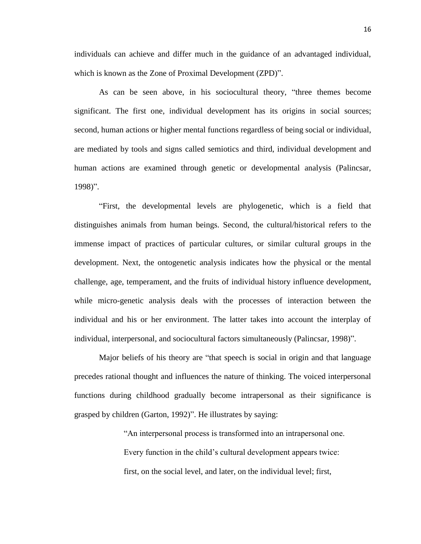individuals can achieve and differ much in the guidance of an advantaged individual, which is known as the Zone of Proximal Development (ZPD)".

As can be seen above, in his sociocultural theory, "three themes become significant. The first one, individual development has its origins in social sources; second, human actions or higher mental functions regardless of being social or individual, are mediated by tools and signs called semiotics and third, individual development and human actions are examined through genetic or developmental analysis (Palincsar, 1998)".

"First, the developmental levels are phylogenetic, which is a field that distinguishes animals from human beings. Second, the cultural/historical refers to the immense impact of practices of particular cultures, or similar cultural groups in the development. Next, the ontogenetic analysis indicates how the physical or the mental challenge, age, temperament, and the fruits of individual history influence development, while micro-genetic analysis deals with the processes of interaction between the individual and his or her environment. The latter takes into account the interplay of individual, interpersonal, and sociocultural factors simultaneously (Palincsar, 1998)".

Major beliefs of his theory are "that speech is social in origin and that language precedes rational thought and influences the nature of thinking. The voiced interpersonal functions during childhood gradually become intrapersonal as their significance is grasped by children (Garton, 1992)". He illustrates by saying:

"An interpersonal process is transformed into an intrapersonal one.

Every function in the child's cultural development appears twice: first, on the social level, and later, on the individual level; first,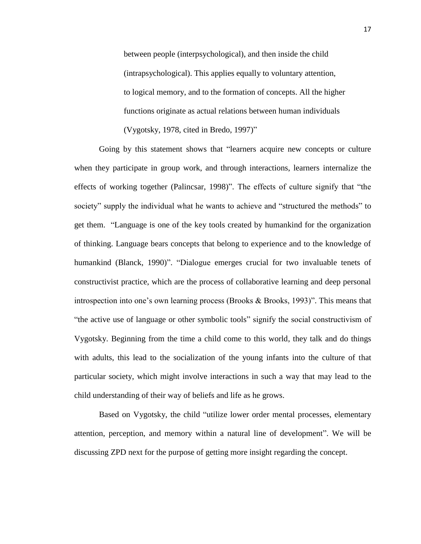between people (interpsychological), and then inside the child (intrapsychological). This applies equally to voluntary attention, to logical memory, and to the formation of concepts. All the higher functions originate as actual relations between human individuals (Vygotsky, 1978, cited in Bredo, 1997)"

Going by this statement shows that "learners acquire new concepts or culture when they participate in group work, and through interactions, learners internalize the effects of working together (Palincsar, 1998)". The effects of culture signify that "the society" supply the individual what he wants to achieve and "structured the methods" to get them. "Language is one of the key tools created by humankind for the organization of thinking. Language bears concepts that belong to experience and to the knowledge of humankind (Blanck, 1990)". "Dialogue emerges crucial for two invaluable tenets of constructivist practice, which are the process of collaborative learning and deep personal introspection into one's own learning process (Brooks & Brooks, 1993)". This means that "the active use of language or other symbolic tools" signify the social constructivism of Vygotsky. Beginning from the time a child come to this world, they talk and do things with adults, this lead to the socialization of the young infants into the culture of that particular society, which might involve interactions in such a way that may lead to the child understanding of their way of beliefs and life as he grows.

Based on Vygotsky, the child "utilize lower order mental processes, elementary attention, perception, and memory within a natural line of development". We will be discussing ZPD next for the purpose of getting more insight regarding the concept.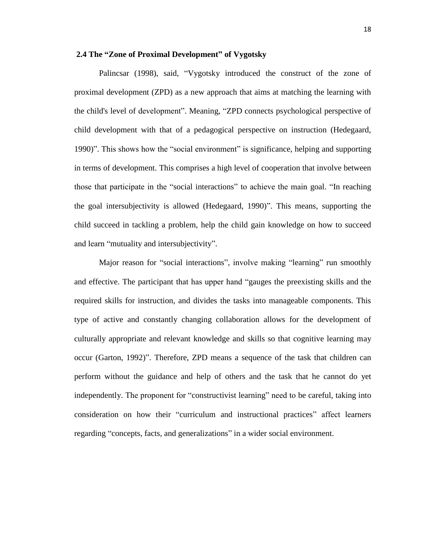#### **2.4 The "Zone of Proximal Development" of Vygotsky**

Palincsar (1998), said, "Vygotsky introduced the construct of the zone of proximal development (ZPD) as a new approach that aims at matching the learning with the child's level of development". Meaning, "ZPD connects psychological perspective of child development with that of a pedagogical perspective on instruction (Hedegaard, 1990)". This shows how the "social environment" is significance, helping and supporting in terms of development. This comprises a high level of cooperation that involve between those that participate in the "social interactions" to achieve the main goal. "In reaching the goal intersubjectivity is allowed (Hedegaard, 1990)". This means, supporting the child succeed in tackling a problem, help the child gain knowledge on how to succeed and learn "mutuality and intersubjectivity".

Major reason for "social interactions", involve making "learning" run smoothly and effective. The participant that has upper hand "gauges the preexisting skills and the required skills for instruction, and divides the tasks into manageable components. This type of active and constantly changing collaboration allows for the development of culturally appropriate and relevant knowledge and skills so that cognitive learning may occur (Garton, 1992)". Therefore, ZPD means a sequence of the task that children can perform without the guidance and help of others and the task that he cannot do yet independently. The proponent for "constructivist learning" need to be careful, taking into consideration on how their "curriculum and instructional practices" affect learners regarding "concepts, facts, and generalizations" in a wider social environment.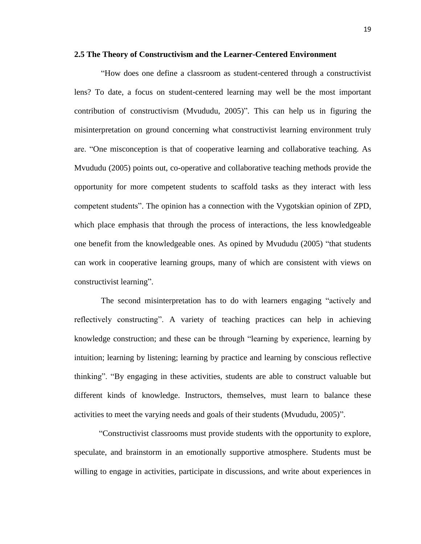#### **2.5 The Theory of Constructivism and the Learner-Centered Environment**

"How does one define a classroom as student-centered through a constructivist lens? To date, a focus on student-centered learning may well be the most important contribution of constructivism (Mvududu, 2005)". This can help us in figuring the misinterpretation on ground concerning what constructivist learning environment truly are. "One misconception is that of cooperative learning and collaborative teaching. As Mvududu (2005) points out, co-operative and collaborative teaching methods provide the opportunity for more competent students to scaffold tasks as they interact with less competent students". The opinion has a connection with the Vygotskian opinion of ZPD, which place emphasis that through the process of interactions, the less knowledgeable one benefit from the knowledgeable ones. As opined by Mvududu (2005) "that students can work in cooperative learning groups, many of which are consistent with views on constructivist learning".

The second misinterpretation has to do with learners engaging "actively and reflectively constructing". A variety of teaching practices can help in achieving knowledge construction; and these can be through "learning by experience, learning by intuition; learning by listening; learning by practice and learning by conscious reflective thinking". "By engaging in these activities, students are able to construct valuable but different kinds of knowledge. Instructors, themselves, must learn to balance these activities to meet the varying needs and goals of their students (Mvududu, 2005)".

"Constructivist classrooms must provide students with the opportunity to explore, speculate, and brainstorm in an emotionally supportive atmosphere. Students must be willing to engage in activities, participate in discussions, and write about experiences in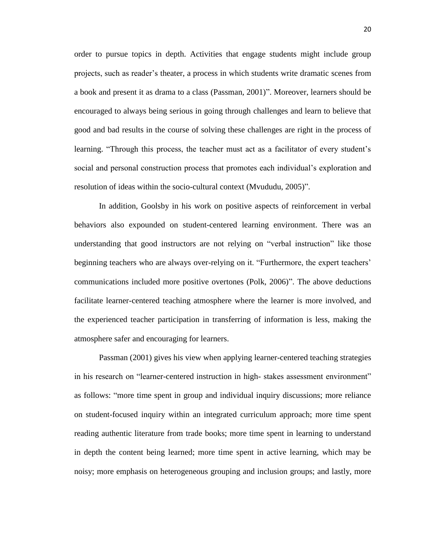order to pursue topics in depth. Activities that engage students might include group projects, such as reader's theater, a process in which students write dramatic scenes from a book and present it as drama to a class (Passman, 2001)". Moreover, learners should be encouraged to always being serious in going through challenges and learn to believe that good and bad results in the course of solving these challenges are right in the process of learning. "Through this process, the teacher must act as a facilitator of every student's social and personal construction process that promotes each individual's exploration and resolution of ideas within the socio-cultural context (Mvududu, 2005)".

In addition, Goolsby in his work on positive aspects of reinforcement in verbal behaviors also expounded on student-centered learning environment. There was an understanding that good instructors are not relying on "verbal instruction" like those beginning teachers who are always over-relying on it. "Furthermore, the expert teachers' communications included more positive overtones (Polk, 2006)". The above deductions facilitate learner-centered teaching atmosphere where the learner is more involved, and the experienced teacher participation in transferring of information is less, making the atmosphere safer and encouraging for learners.

Passman (2001) gives his view when applying learner-centered teaching strategies in his research on "learner-centered instruction in high- stakes assessment environment" as follows: "more time spent in group and individual inquiry discussions; more reliance on student-focused inquiry within an integrated curriculum approach; more time spent reading authentic literature from trade books; more time spent in learning to understand in depth the content being learned; more time spent in active learning, which may be noisy; more emphasis on heterogeneous grouping and inclusion groups; and lastly, more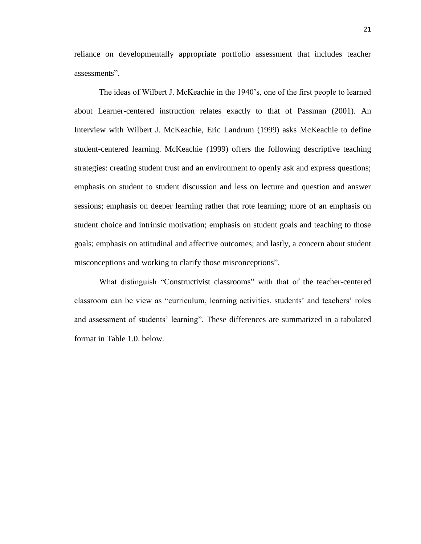reliance on developmentally appropriate portfolio assessment that includes teacher assessments".

The ideas of Wilbert J. McKeachie in the 1940's, one of the first people to learned about Learner-centered instruction relates exactly to that of Passman (2001). An Interview with Wilbert J. McKeachie, Eric Landrum (1999) asks McKeachie to define student-centered learning. McKeachie (1999) offers the following descriptive teaching strategies: creating student trust and an environment to openly ask and express questions; emphasis on student to student discussion and less on lecture and question and answer sessions; emphasis on deeper learning rather that rote learning; more of an emphasis on student choice and intrinsic motivation; emphasis on student goals and teaching to those goals; emphasis on attitudinal and affective outcomes; and lastly, a concern about student misconceptions and working to clarify those misconceptions".

What distinguish "Constructivist classrooms" with that of the teacher-centered classroom can be view as "curriculum, learning activities, students' and teachers' roles and assessment of students' learning". These differences are summarized in a tabulated format in Table 1.0. below.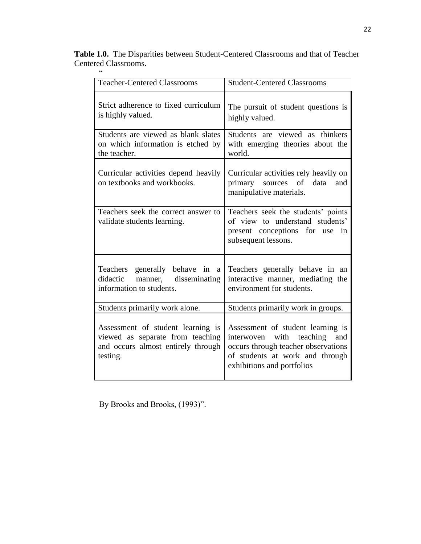**Table 1.0.** The Disparities between Student-Centered Classrooms and that of Teacher Centered Classrooms.

| 66                                                                                                                      |                                                                                                                                                                                    |
|-------------------------------------------------------------------------------------------------------------------------|------------------------------------------------------------------------------------------------------------------------------------------------------------------------------------|
| <b>Teacher-Centered Classrooms</b>                                                                                      | <b>Student-Centered Classrooms</b>                                                                                                                                                 |
| Strict adherence to fixed curriculum<br>is highly valued.                                                               | The pursuit of student questions is<br>highly valued.                                                                                                                              |
| Students are viewed as blank slates<br>on which information is etched by<br>the teacher.                                | Students are viewed as thinkers<br>with emerging theories about the<br>world.                                                                                                      |
| Curricular activities depend heavily<br>on textbooks and workbooks.                                                     | Curricular activities rely heavily on<br>primary sources of data<br>and<br>manipulative materials.                                                                                 |
| Teachers seek the correct answer to<br>validate students learning.                                                      | Teachers seek the students' points<br>of view to understand students'<br>present conceptions for use<br>in<br>subsequent lessons.                                                  |
| Teachers generally behave in<br>a<br>didactic<br>manner,<br>disseminating<br>information to students.                   | Teachers generally behave in an<br>interactive manner, mediating the<br>environment for students.                                                                                  |
| Students primarily work alone.                                                                                          | Students primarily work in groups.                                                                                                                                                 |
| Assessment of student learning is<br>viewed as separate from teaching<br>and occurs almost entirely through<br>testing. | Assessment of student learning is<br>teaching<br>and<br>interwoven<br>with<br>occurs through teacher observations<br>of students at work and through<br>exhibitions and portfolios |

By Brooks and Brooks, (1993)".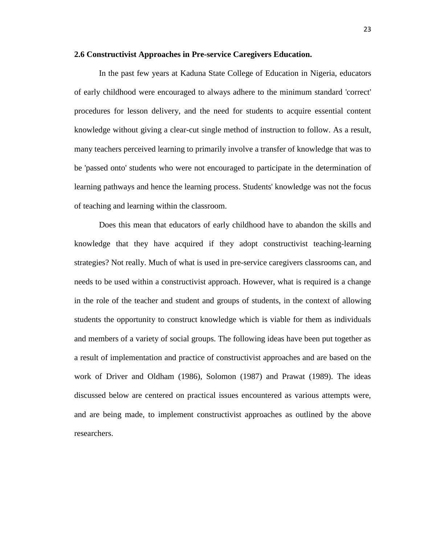#### **2.6 Constructivist Approaches in Pre-service Caregivers Education.**

In the past few years at Kaduna State College of Education in Nigeria, educators of early childhood were encouraged to always adhere to the minimum standard 'correct' procedures for lesson delivery, and the need for students to acquire essential content knowledge without giving a clear-cut single method of instruction to follow. As a result, many teachers perceived learning to primarily involve a transfer of knowledge that was to be 'passed onto' students who were not encouraged to participate in the determination of learning pathways and hence the learning process. Students' knowledge was not the focus of teaching and learning within the classroom.

Does this mean that educators of early childhood have to abandon the skills and knowledge that they have acquired if they adopt constructivist teaching-learning strategies? Not really. Much of what is used in pre-service caregivers classrooms can, and needs to be used within a constructivist approach. However, what is required is a change in the role of the teacher and student and groups of students, in the context of allowing students the opportunity to construct knowledge which is viable for them as individuals and members of a variety of social groups. The following ideas have been put together as a result of implementation and practice of constructivist approaches and are based on the work of Driver and Oldham (1986), Solomon (1987) and Prawat (1989). The ideas discussed below are centered on practical issues encountered as various attempts were, and are being made, to implement constructivist approaches as outlined by the above researchers.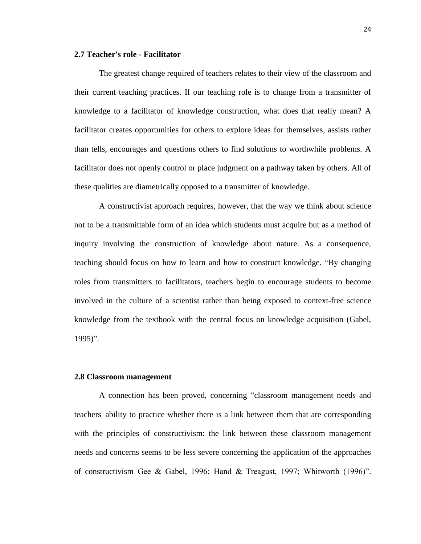#### **2.7 [Teacher's role -](http://web.a.ebscohost.com.ezproxy.neu.edu.tr:2048/ehost/detail/detail?vid=3&sid=ae9b88ba-f0d6-479f-9afa-210d4a35816a%40sessionmgr4002&hid=4104&bdata=JnNpdGU9ZWhvc3QtbGl2ZQ%3d%3d#toc) [Facilitator](http://web.a.ebscohost.com.ezproxy.neu.edu.tr:2048/ehost/detail/detail?vid=3&sid=ae9b88ba-f0d6-479f-9afa-210d4a35816a%40sessionmgr4002&hid=4104&bdata=JnNpdGU9ZWhvc3QtbGl2ZQ%3d%3d#toc)**

The greatest change required of teachers relates to their view of the classroom and their current teaching practices. If our teaching role is to change from a transmitter of knowledge to a facilitator of knowledge construction, what does that really mean? A facilitator creates opportunities for others to explore ideas for themselves, assists rather than tells, encourages and questions others to find solutions to worthwhile problems. A facilitator does not openly control or place judgment on a pathway taken by others. All of these qualities are diametrically opposed to a transmitter of knowledge.

A constructivist approach requires, however, that the way we think about science not to be a transmittable form of an idea which students must acquire but as a method of inquiry involving the construction of knowledge about nature. As a consequence, teaching should focus on how to learn and how to construct knowledge. "By changing roles from transmitters to facilitators, teachers begin to encourage students to become involved in the culture of a scientist rather than being exposed to context-free science knowledge from the textbook with the central focus on knowledge acquisition (Gabel, 1995)".

#### **2.8 [Classroom management](http://web.a.ebscohost.com.ezproxy.neu.edu.tr:2048/ehost/detail/detail?vid=3&sid=ae9b88ba-f0d6-479f-9afa-210d4a35816a%40sessionmgr4002&hid=4104&bdata=JnNpdGU9ZWhvc3QtbGl2ZQ%3d%3d#toc)**

A connection has been proved, concerning "classroom management needs and teachers' ability to practice whether there is a link between them that are corresponding with the principles of constructivism: the link between these classroom management needs and concerns seems to be less severe concerning the application of the approaches of constructivism Gee & Gabel, 1996; Hand & Treagust, 1997; Whitworth (1996)".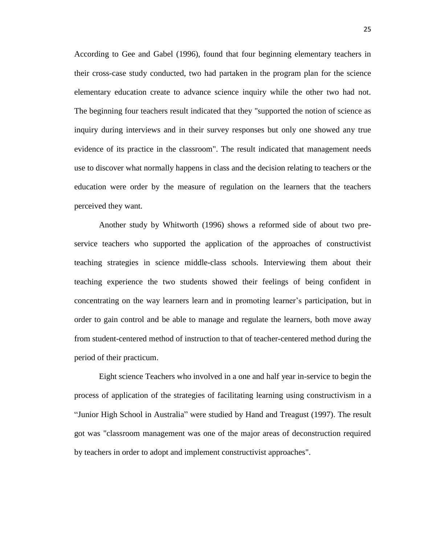According to Gee and Gabel (1996), found that four beginning elementary teachers in their cross-case study conducted, two had partaken in the program plan for the science elementary education create to advance science inquiry while the other two had not. The beginning four teachers result indicated that they "supported the notion of science as inquiry during interviews and in their survey responses but only one showed any true evidence of its practice in the classroom". The result indicated that management needs use to discover what normally happens in class and the decision relating to teachers or the education were order by the measure of regulation on the learners that the teachers perceived they want.

Another study by Whitworth (1996) shows a reformed side of about two preservice teachers who supported the application of the approaches of constructivist teaching strategies in science middle-class schools. Interviewing them about their teaching experience the two students showed their feelings of being confident in concentrating on the way learners learn and in promoting learner's participation, but in order to gain control and be able to manage and regulate the learners, both move away from student-centered method of instruction to that of teacher-centered method during the period of their practicum.

Eight science Teachers who involved in a one and half year in-service to begin the process of application of the strategies of facilitating learning using constructivism in a "Junior High School in Australia" were studied by Hand and Treagust (1997). The result got was "classroom management was one of the major areas of deconstruction required by teachers in order to adopt and implement constructivist approaches".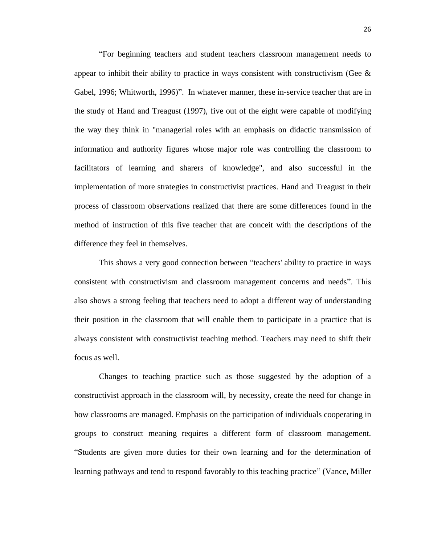"For beginning teachers and student teachers classroom management needs to appear to inhibit their ability to practice in ways consistent with constructivism (Gee  $\&$ Gabel, 1996; Whitworth, 1996)". In whatever manner, these in-service teacher that are in the study of Hand and Treagust (1997), five out of the eight were capable of modifying the way they think in "managerial roles with an emphasis on didactic transmission of information and authority figures whose major role was controlling the classroom to facilitators of learning and sharers of knowledge", and also successful in the implementation of more strategies in constructivist practices. Hand and Treagust in their process of classroom observations realized that there are some differences found in the method of instruction of this five teacher that are conceit with the descriptions of the difference they feel in themselves.

This shows a very good connection between "teachers' ability to practice in ways consistent with constructivism and classroom management concerns and needs". This also shows a strong feeling that teachers need to adopt a different way of understanding their position in the classroom that will enable them to participate in a practice that is always consistent with constructivist teaching method. Teachers may need to shift their focus as well.

Changes to teaching practice such as those suggested by the adoption of a constructivist approach in the classroom will, by necessity, create the need for change in how classrooms are managed. Emphasis on the participation of individuals cooperating in groups to construct meaning requires a different form of classroom management. "Students are given more duties for their own learning and for the determination of learning pathways and tend to respond favorably to this teaching practice" (Vance, Miller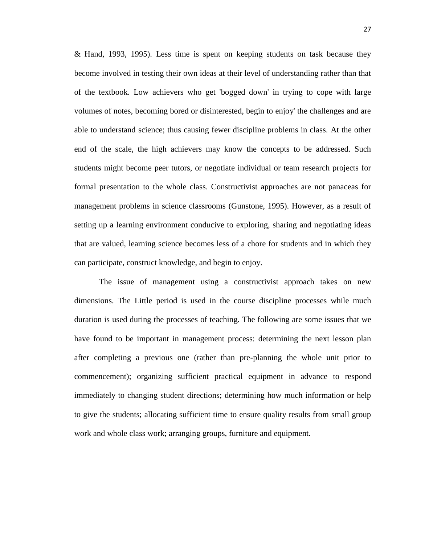& Hand, 1993, 1995). Less time is spent on keeping students on task because they become involved in testing their own ideas at their level of understanding rather than that of the textbook. Low achievers who get 'bogged down' in trying to cope with large volumes of notes, becoming bored or disinterested, begin to enjoy' the challenges and are able to understand science; thus causing fewer discipline problems in class. At the other end of the scale, the high achievers may know the concepts to be addressed. Such students might become peer tutors, or negotiate individual or team research projects for formal presentation to the whole class. Constructivist approaches are not panaceas for management problems in science classrooms (Gunstone, 1995). However, as a result of setting up a learning environment conducive to exploring, sharing and negotiating ideas that are valued, learning science becomes less of a chore for students and in which they can participate, construct knowledge, and begin to enjoy.

The issue of management using a constructivist approach takes on new dimensions. The Little period is used in the course discipline processes while much duration is used during the processes of teaching. The following are some issues that we have found to be important in management process: determining the next lesson plan after completing a previous one (rather than pre-planning the whole unit prior to commencement); organizing sufficient practical equipment in advance to respond immediately to changing student directions; determining how much information or help to give the students; allocating sufficient time to ensure quality results from small group work and whole class work; arranging groups, furniture and equipment.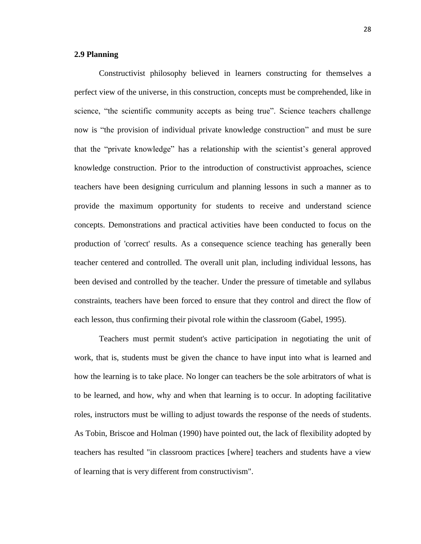# **2.9 [Planning](http://web.a.ebscohost.com.ezproxy.neu.edu.tr:2048/ehost/detail/detail?vid=3&sid=ae9b88ba-f0d6-479f-9afa-210d4a35816a%40sessionmgr4002&hid=4104&bdata=JnNpdGU9ZWhvc3QtbGl2ZQ%3d%3d#toc)**

Constructivist philosophy believed in learners constructing for themselves a perfect view of the universe, in this construction, concepts must be comprehended, like in science, "the scientific community accepts as being true". Science teachers challenge now is "the provision of individual private knowledge construction" and must be sure that the "private knowledge" has a relationship with the scientist's general approved knowledge construction. Prior to the introduction of constructivist approaches, science teachers have been designing curriculum and planning lessons in such a manner as to provide the maximum opportunity for students to receive and understand science concepts. Demonstrations and practical activities have been conducted to focus on the production of 'correct' results. As a consequence science teaching has generally been teacher centered and controlled. The overall unit plan, including individual lessons, has been devised and controlled by the teacher. Under the pressure of timetable and syllabus constraints, teachers have been forced to ensure that they control and direct the flow of each lesson, thus confirming their pivotal role within the classroom (Gabel, 1995).

Teachers must permit student's active participation in negotiating the unit of work, that is, students must be given the chance to have input into what is learned and how the learning is to take place. No longer can teachers be the sole arbitrators of what is to be learned, and how, why and when that learning is to occur. In adopting facilitative roles, instructors must be willing to adjust towards the response of the needs of students. As Tobin, Briscoe and Holman (1990) have pointed out, the lack of flexibility adopted by teachers has resulted "in classroom practices [where] teachers and students have a view of learning that is very different from constructivism".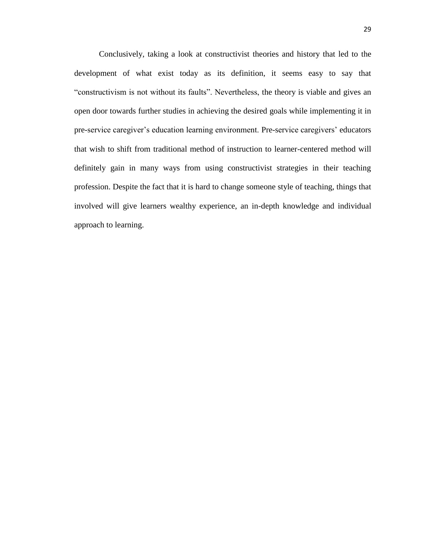Conclusively, taking a look at constructivist theories and history that led to the development of what exist today as its definition, it seems easy to say that "constructivism is not without its faults". Nevertheless, the theory is viable and gives an open door towards further studies in achieving the desired goals while implementing it in pre-service caregiver's education learning environment. Pre-service caregivers' educators that wish to shift from traditional method of instruction to learner-centered method will definitely gain in many ways from using constructivist strategies in their teaching profession. Despite the fact that it is hard to change someone style of teaching, things that involved will give learners wealthy experience, an in-depth knowledge and individual approach to learning.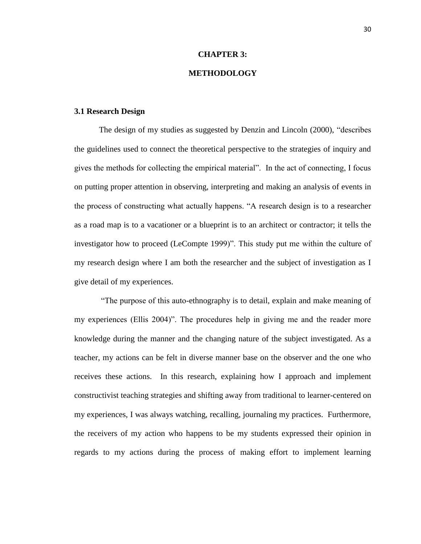### **CHAPTER 3:**

# **METHODOLOGY**

### **3.1 Research Design**

The design of my studies as suggested by Denzin and Lincoln (2000), "describes the guidelines used to connect the theoretical perspective to the strategies of inquiry and gives the methods for collecting the empirical material". In the act of connecting, I focus on putting proper attention in observing, interpreting and making an analysis of events in the process of constructing what actually happens. "A research design is to a researcher as a road map is to a vacationer or a blueprint is to an architect or contractor; it tells the investigator how to proceed (LeCompte 1999)". This study put me within the culture of my research design where I am both the researcher and the subject of investigation as I give detail of my experiences.

"The purpose of this auto-ethnography is to detail, explain and make meaning of my experiences (Ellis 2004)". The procedures help in giving me and the reader more knowledge during the manner and the changing nature of the subject investigated. As a teacher, my actions can be felt in diverse manner base on the observer and the one who receives these actions. In this research, explaining how I approach and implement constructivist teaching strategies and shifting away from traditional to learner-centered on my experiences, I was always watching, recalling, journaling my practices. Furthermore, the receivers of my action who happens to be my students expressed their opinion in regards to my actions during the process of making effort to implement learning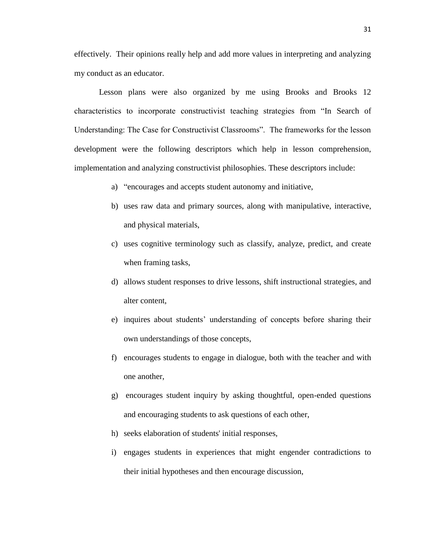effectively. Their opinions really help and add more values in interpreting and analyzing my conduct as an educator.

Lesson plans were also organized by me using Brooks and Brooks 12 characteristics to incorporate constructivist teaching strategies from "In Search of Understanding: The Case for Constructivist Classrooms". The frameworks for the lesson development were the following descriptors which help in lesson comprehension, implementation and analyzing constructivist philosophies. These descriptors include:

- a) "encourages and accepts student autonomy and initiative,
- b) uses raw data and primary sources, along with manipulative, interactive, and physical materials,
- c) uses cognitive terminology such as classify, analyze, predict, and create when framing tasks,
- d) allows student responses to drive lessons, shift instructional strategies, and alter content,
- e) inquires about students' understanding of concepts before sharing their own understandings of those concepts,
- f) encourages students to engage in dialogue, both with the teacher and with one another,
- g) encourages student inquiry by asking thoughtful, open-ended questions and encouraging students to ask questions of each other,
- h) seeks elaboration of students' initial responses,
- i) engages students in experiences that might engender contradictions to their initial hypotheses and then encourage discussion,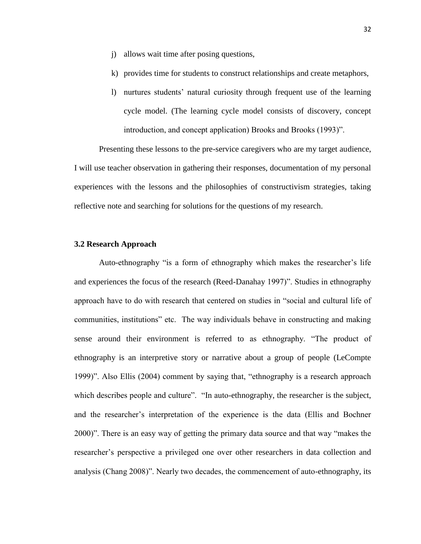- j) allows wait time after posing questions,
- k) provides time for students to construct relationships and create metaphors,
- l) nurtures students' natural curiosity through frequent use of the learning cycle model. (The learning cycle model consists of discovery, concept introduction, and concept application) Brooks and Brooks (1993)".

Presenting these lessons to the pre-service caregivers who are my target audience, I will use teacher observation in gathering their responses, documentation of my personal experiences with the lessons and the philosophies of constructivism strategies, taking reflective note and searching for solutions for the questions of my research.

# **3.2 Research Approach**

Auto-ethnography "is a form of ethnography which makes the researcher's life and experiences the focus of the research (Reed-Danahay 1997)". Studies in ethnography approach have to do with research that centered on studies in "social and cultural life of communities, institutions" etc. The way individuals behave in constructing and making sense around their environment is referred to as ethnography. "The product of ethnography is an interpretive story or narrative about a group of people (LeCompte 1999)". Also Ellis (2004) comment by saying that, "ethnography is a research approach which describes people and culture". "In auto-ethnography, the researcher is the subject, and the researcher's interpretation of the experience is the data (Ellis and Bochner 2000)". There is an easy way of getting the primary data source and that way "makes the researcher's perspective a privileged one over other researchers in data collection and analysis (Chang 2008)". Nearly two decades, the commencement of auto-ethnography, its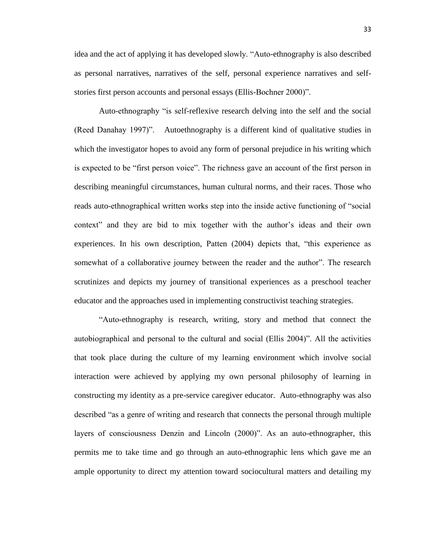idea and the act of applying it has developed slowly. "Auto-ethnography is also described as personal narratives, narratives of the self, personal experience narratives and selfstories first person accounts and personal essays (Ellis-Bochner 2000)".

Auto-ethnography "is self-reflexive research delving into the self and the social (Reed Danahay 1997)". Autoethnography is a different kind of qualitative studies in which the investigator hopes to avoid any form of personal prejudice in his writing which is expected to be "first person voice". The richness gave an account of the first person in describing meaningful circumstances, human cultural norms, and their races. Those who reads auto-ethnographical written works step into the inside active functioning of "social context" and they are bid to mix together with the author's ideas and their own experiences. In his own description, Patten (2004) depicts that, "this experience as somewhat of a collaborative journey between the reader and the author". The research scrutinizes and depicts my journey of transitional experiences as a preschool teacher educator and the approaches used in implementing constructivist teaching strategies.

"Auto-ethnography is research, writing, story and method that connect the autobiographical and personal to the cultural and social (Ellis 2004)". All the activities that took place during the culture of my learning environment which involve social interaction were achieved by applying my own personal philosophy of learning in constructing my identity as a pre-service caregiver educator. Auto-ethnography was also described "as a genre of writing and research that connects the personal through multiple layers of consciousness Denzin and Lincoln (2000)". As an auto-ethnographer, this permits me to take time and go through an auto-ethnographic lens which gave me an ample opportunity to direct my attention toward sociocultural matters and detailing my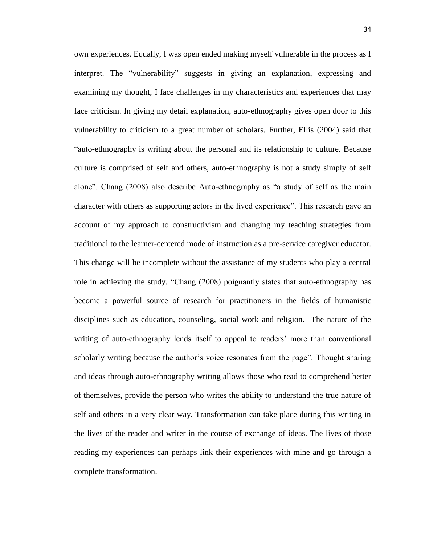own experiences. Equally, I was open ended making myself vulnerable in the process as I interpret. The "vulnerability" suggests in giving an explanation, expressing and examining my thought, I face challenges in my characteristics and experiences that may face criticism. In giving my detail explanation, auto-ethnography gives open door to this vulnerability to criticism to a great number of scholars. Further, Ellis (2004) said that "auto-ethnography is writing about the personal and its relationship to culture. Because culture is comprised of self and others, auto-ethnography is not a study simply of self alone". Chang (2008) also describe Auto-ethnography as "a study of self as the main character with others as supporting actors in the lived experience". This research gave an account of my approach to constructivism and changing my teaching strategies from traditional to the learner-centered mode of instruction as a pre-service caregiver educator. This change will be incomplete without the assistance of my students who play a central role in achieving the study. "Chang (2008) poignantly states that auto-ethnography has become a powerful source of research for practitioners in the fields of humanistic disciplines such as education, counseling, social work and religion. The nature of the writing of auto-ethnography lends itself to appeal to readers' more than conventional scholarly writing because the author's voice resonates from the page". Thought sharing and ideas through auto-ethnography writing allows those who read to comprehend better of themselves, provide the person who writes the ability to understand the true nature of self and others in a very clear way. Transformation can take place during this writing in the lives of the reader and writer in the course of exchange of ideas. The lives of those reading my experiences can perhaps link their experiences with mine and go through a complete transformation.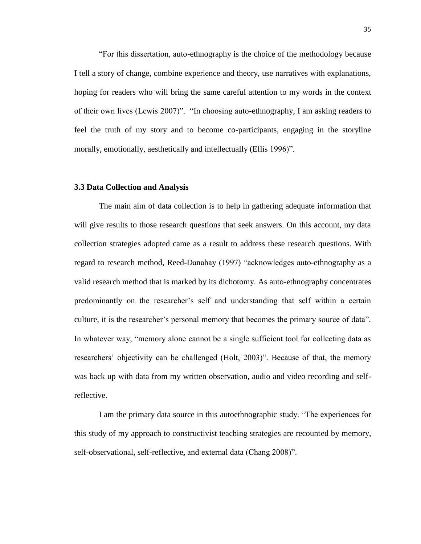"For this dissertation, auto-ethnography is the choice of the methodology because I tell a story of change, combine experience and theory, use narratives with explanations, hoping for readers who will bring the same careful attention to my words in the context of their own lives (Lewis 2007)". "In choosing auto-ethnography, I am asking readers to feel the truth of my story and to become co-participants, engaging in the storyline morally, emotionally, aesthetically and intellectually (Ellis 1996)".

### **3.3 Data Collection and Analysis**

The main aim of data collection is to help in gathering adequate information that will give results to those research questions that seek answers. On this account, my data collection strategies adopted came as a result to address these research questions. With regard to research method, Reed-Danahay (1997) "acknowledges auto-ethnography as a valid research method that is marked by its dichotomy. As auto-ethnography concentrates predominantly on the researcher's self and understanding that self within a certain culture, it is the researcher's personal memory that becomes the primary source of data". In whatever way, "memory alone cannot be a single sufficient tool for collecting data as researchers' objectivity can be challenged (Holt, 2003)". Because of that, the memory was back up with data from my written observation, audio and video recording and selfreflective.

I am the primary data source in this autoethnographic study. "The experiences for this study of my approach to constructivist teaching strategies are recounted by memory, self-observational, self-reflective**,** and external data (Chang 2008)".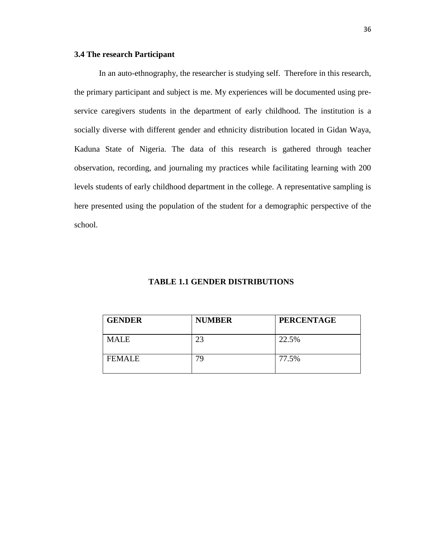# **3.4 The research Participant**

In an auto-ethnography, the researcher is studying self. Therefore in this research, the primary participant and subject is me. My experiences will be documented using preservice caregivers students in the department of early childhood. The institution is a socially diverse with different gender and ethnicity distribution located in Gidan Waya, Kaduna State of Nigeria. The data of this research is gathered through teacher observation, recording, and journaling my practices while facilitating learning with 200 levels students of early childhood department in the college. A representative sampling is here presented using the population of the student for a demographic perspective of the school.

# **TABLE 1.1 GENDER DISTRIBUTIONS**

| <b>GENDER</b> | <b>NUMBER</b> | <b>PERCENTAGE</b> |
|---------------|---------------|-------------------|
| <b>MALE</b>   | 23            | 22.5%             |
| <b>FEMALE</b> | 79            | 77.5%             |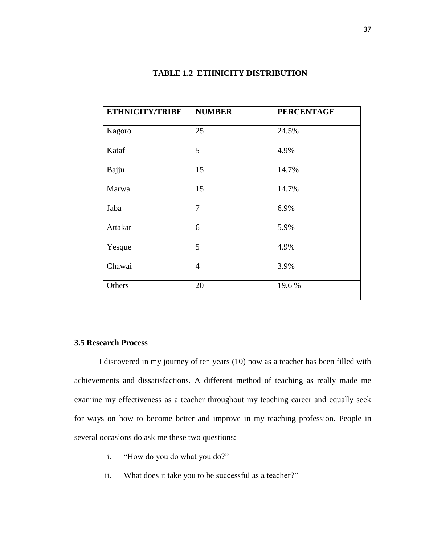| <b>ETHNICITY/TRIBE</b> | <b>NUMBER</b>  | <b>PERCENTAGE</b> |
|------------------------|----------------|-------------------|
| Kagoro                 | 25             | 24.5%             |
| Kataf                  | 5              | 4.9%              |
| Bajju                  | 15             | 14.7%             |
| Marwa                  | 15             | 14.7%             |
| Jaba                   | $\overline{7}$ | 6.9%              |
| Attakar                | 6              | 5.9%              |
| Yesque                 | 5              | 4.9%              |
| Chawai                 | $\overline{4}$ | 3.9%              |
| Others                 | 20             | 19.6%             |

# **TABLE 1.2 ETHNICITY DISTRIBUTION**

# **3.5 Research Process**

I discovered in my journey of ten years (10) now as a teacher has been filled with achievements and dissatisfactions. A different method of teaching as really made me examine my effectiveness as a teacher throughout my teaching career and equally seek for ways on how to become better and improve in my teaching profession. People in several occasions do ask me these two questions:

- i. "How do you do what you do?"
- ii. What does it take you to be successful as a teacher?"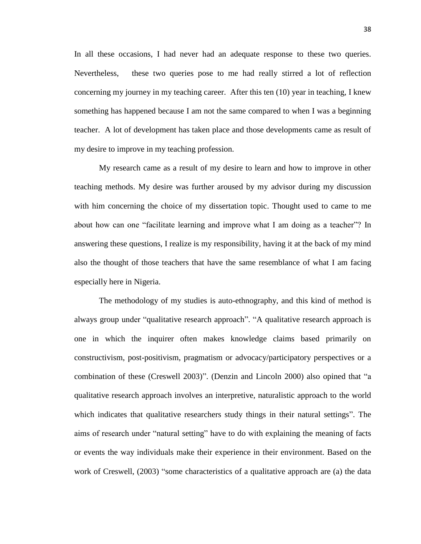In all these occasions, I had never had an adequate response to these two queries. Nevertheless, these two queries pose to me had really stirred a lot of reflection concerning my journey in my teaching career. After this ten (10) year in teaching, I knew something has happened because I am not the same compared to when I was a beginning teacher. A lot of development has taken place and those developments came as result of my desire to improve in my teaching profession.

My research came as a result of my desire to learn and how to improve in other teaching methods. My desire was further aroused by my advisor during my discussion with him concerning the choice of my dissertation topic. Thought used to came to me about how can one "facilitate learning and improve what I am doing as a teacher"? In answering these questions, I realize is my responsibility, having it at the back of my mind also the thought of those teachers that have the same resemblance of what I am facing especially here in Nigeria.

The methodology of my studies is auto-ethnography, and this kind of method is always group under "qualitative research approach". "A qualitative research approach is one in which the inquirer often makes knowledge claims based primarily on constructivism, post-positivism, pragmatism or advocacy/participatory perspectives or a combination of these (Creswell 2003)". (Denzin and Lincoln 2000) also opined that "a qualitative research approach involves an interpretive, naturalistic approach to the world which indicates that qualitative researchers study things in their natural settings". The aims of research under "natural setting" have to do with explaining the meaning of facts or events the way individuals make their experience in their environment. Based on the work of Creswell, (2003) "some characteristics of a qualitative approach are (a) the data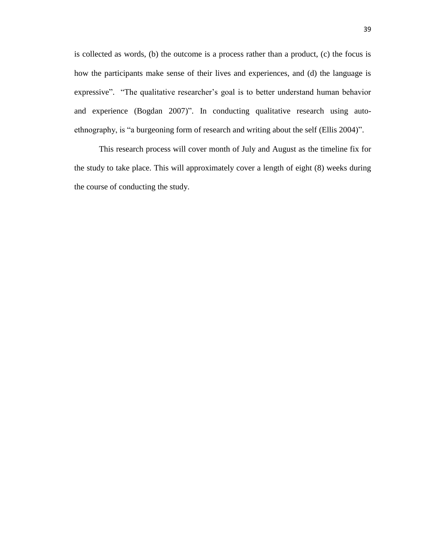is collected as words, (b) the outcome is a process rather than a product, (c) the focus is how the participants make sense of their lives and experiences, and (d) the language is expressive". "The qualitative researcher's goal is to better understand human behavior and experience (Bogdan 2007)". In conducting qualitative research using autoethnography, is "a burgeoning form of research and writing about the self (Ellis 2004)".

This research process will cover month of July and August as the timeline fix for the study to take place. This will approximately cover a length of eight (8) weeks during the course of conducting the study.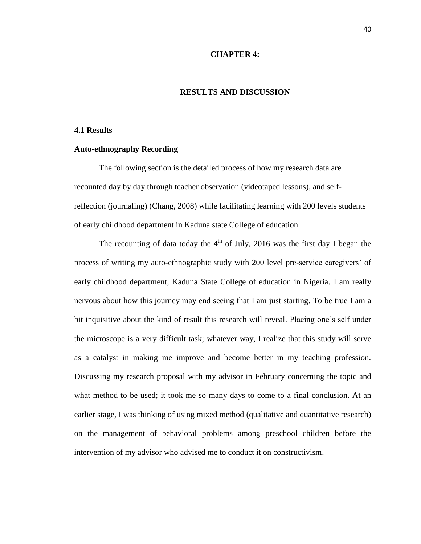### **CHAPTER 4:**

### **RESULTS AND DISCUSSION**

### **4.1 Results**

# **Auto-ethnography Recording**

The following section is the detailed process of how my research data are recounted day by day through teacher observation (videotaped lessons), and selfreflection (journaling) (Chang, 2008) while facilitating learning with 200 levels students of early childhood department in Kaduna state College of education.

The recounting of data today the  $4<sup>th</sup>$  of July, 2016 was the first day I began the process of writing my auto-ethnographic study with 200 level pre-service caregivers' of early childhood department, Kaduna State College of education in Nigeria. I am really nervous about how this journey may end seeing that I am just starting. To be true I am a bit inquisitive about the kind of result this research will reveal. Placing one's self under the microscope is a very difficult task; whatever way, I realize that this study will serve as a catalyst in making me improve and become better in my teaching profession. Discussing my research proposal with my advisor in February concerning the topic and what method to be used; it took me so many days to come to a final conclusion. At an earlier stage, I was thinking of using mixed method (qualitative and quantitative research) on the management of behavioral problems among preschool children before the intervention of my advisor who advised me to conduct it on constructivism.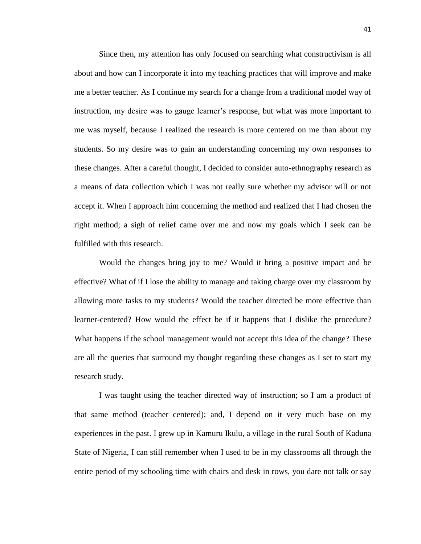Since then, my attention has only focused on searching what constructivism is all about and how can I incorporate it into my teaching practices that will improve and make me a better teacher. As I continue my search for a change from a traditional model way of instruction, my desire was to gauge learner's response, but what was more important to me was myself, because I realized the research is more centered on me than about my students. So my desire was to gain an understanding concerning my own responses to these changes. After a careful thought, I decided to consider auto-ethnography research as a means of data collection which I was not really sure whether my advisor will or not accept it. When I approach him concerning the method and realized that I had chosen the right method; a sigh of relief came over me and now my goals which I seek can be fulfilled with this research.

Would the changes bring joy to me? Would it bring a positive impact and be effective? What of if I lose the ability to manage and taking charge over my classroom by allowing more tasks to my students? Would the teacher directed be more effective than learner-centered? How would the effect be if it happens that I dislike the procedure? What happens if the school management would not accept this idea of the change? These are all the queries that surround my thought regarding these changes as I set to start my research study.

I was taught using the teacher directed way of instruction; so I am a product of that same method (teacher centered); and, I depend on it very much base on my experiences in the past. I grew up in Kamuru Ikulu, a village in the rural South of Kaduna State of Nigeria, I can still remember when I used to be in my classrooms all through the entire period of my schooling time with chairs and desk in rows, you dare not talk or say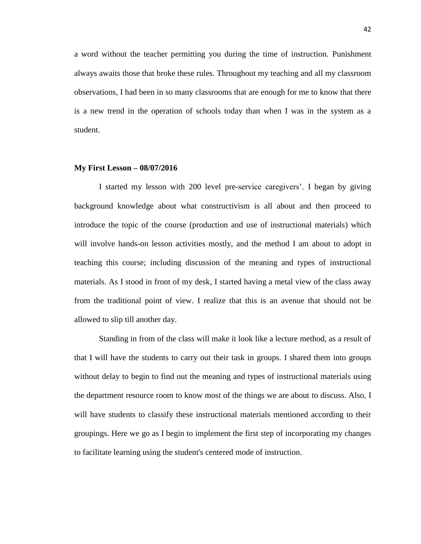a word without the teacher permitting you during the time of instruction. Punishment always awaits those that broke these rules. Throughout my teaching and all my classroom observations, I had been in so many classrooms that are enough for me to know that there is a new trend in the operation of schools today than when I was in the system as a student.

#### **My First Lesson – 08/07/2016**

I started my lesson with 200 level pre-service caregivers'. I began by giving background knowledge about what constructivism is all about and then proceed to introduce the topic of the course (production and use of instructional materials) which will involve hands-on lesson activities mostly, and the method I am about to adopt in teaching this course; including discussion of the meaning and types of instructional materials. As I stood in front of my desk, I started having a metal view of the class away from the traditional point of view. I realize that this is an avenue that should not be allowed to slip till another day.

Standing in from of the class will make it look like a lecture method, as a result of that I will have the students to carry out their task in groups. I shared them into groups without delay to begin to find out the meaning and types of instructional materials using the department resource room to know most of the things we are about to discuss. Also, I will have students to classify these instructional materials mentioned according to their groupings. Here we go as I begin to implement the first step of incorporating my changes to facilitate learning using the student's centered mode of instruction.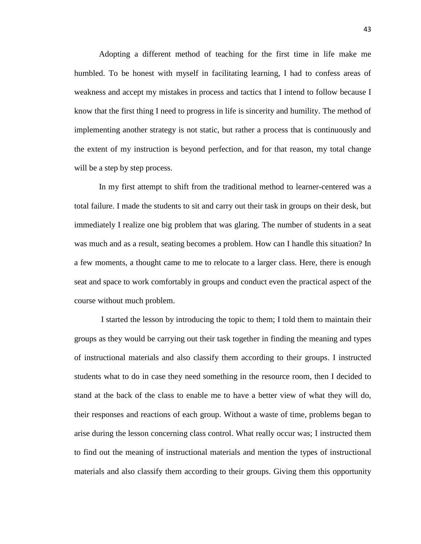Adopting a different method of teaching for the first time in life make me humbled. To be honest with myself in facilitating learning, I had to confess areas of weakness and accept my mistakes in process and tactics that I intend to follow because I know that the first thing I need to progress in life is sincerity and humility. The method of implementing another strategy is not static, but rather a process that is continuously and the extent of my instruction is beyond perfection, and for that reason, my total change will be a step by step process.

In my first attempt to shift from the traditional method to learner-centered was a total failure. I made the students to sit and carry out their task in groups on their desk, but immediately I realize one big problem that was glaring. The number of students in a seat was much and as a result, seating becomes a problem. How can I handle this situation? In a few moments, a thought came to me to relocate to a larger class. Here, there is enough seat and space to work comfortably in groups and conduct even the practical aspect of the course without much problem.

I started the lesson by introducing the topic to them; I told them to maintain their groups as they would be carrying out their task together in finding the meaning and types of instructional materials and also classify them according to their groups. I instructed students what to do in case they need something in the resource room, then I decided to stand at the back of the class to enable me to have a better view of what they will do, their responses and reactions of each group. Without a waste of time, problems began to arise during the lesson concerning class control. What really occur was; I instructed them to find out the meaning of instructional materials and mention the types of instructional materials and also classify them according to their groups. Giving them this opportunity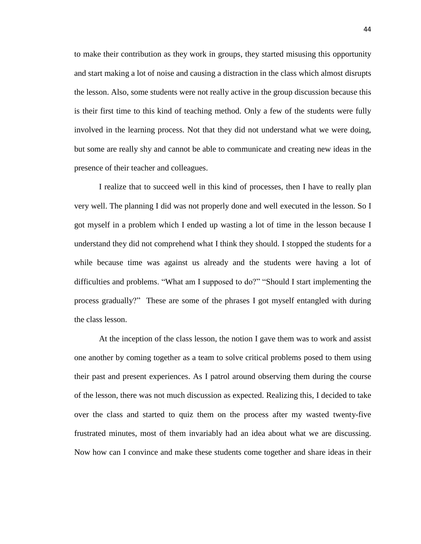to make their contribution as they work in groups, they started misusing this opportunity and start making a lot of noise and causing a distraction in the class which almost disrupts the lesson. Also, some students were not really active in the group discussion because this is their first time to this kind of teaching method. Only a few of the students were fully involved in the learning process. Not that they did not understand what we were doing, but some are really shy and cannot be able to communicate and creating new ideas in the presence of their teacher and colleagues.

I realize that to succeed well in this kind of processes, then I have to really plan very well. The planning I did was not properly done and well executed in the lesson. So I got myself in a problem which I ended up wasting a lot of time in the lesson because I understand they did not comprehend what I think they should. I stopped the students for a while because time was against us already and the students were having a lot of difficulties and problems. "What am I supposed to do?" "Should I start implementing the process gradually?" These are some of the phrases I got myself entangled with during the class lesson.

At the inception of the class lesson, the notion I gave them was to work and assist one another by coming together as a team to solve critical problems posed to them using their past and present experiences. As I patrol around observing them during the course of the lesson, there was not much discussion as expected. Realizing this, I decided to take over the class and started to quiz them on the process after my wasted twenty-five frustrated minutes, most of them invariably had an idea about what we are discussing. Now how can I convince and make these students come together and share ideas in their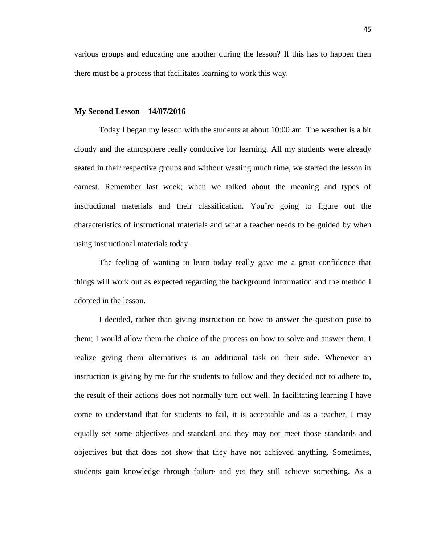various groups and educating one another during the lesson? If this has to happen then there must be a process that facilitates learning to work this way.

### **My Second Lesson – 14/07/2016**

Today I began my lesson with the students at about 10:00 am. The weather is a bit cloudy and the atmosphere really conducive for learning. All my students were already seated in their respective groups and without wasting much time, we started the lesson in earnest. Remember last week; when we talked about the meaning and types of instructional materials and their classification. You're going to figure out the characteristics of instructional materials and what a teacher needs to be guided by when using instructional materials today.

The feeling of wanting to learn today really gave me a great confidence that things will work out as expected regarding the background information and the method I adopted in the lesson.

I decided, rather than giving instruction on how to answer the question pose to them; I would allow them the choice of the process on how to solve and answer them. I realize giving them alternatives is an additional task on their side. Whenever an instruction is giving by me for the students to follow and they decided not to adhere to, the result of their actions does not normally turn out well. In facilitating learning I have come to understand that for students to fail, it is acceptable and as a teacher, I may equally set some objectives and standard and they may not meet those standards and objectives but that does not show that they have not achieved anything. Sometimes, students gain knowledge through failure and yet they still achieve something. As a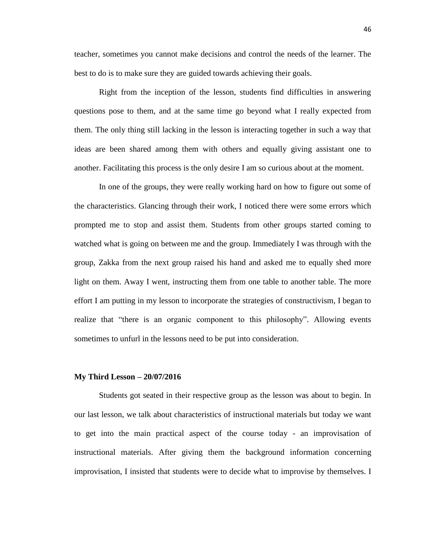teacher, sometimes you cannot make decisions and control the needs of the learner. The best to do is to make sure they are guided towards achieving their goals.

Right from the inception of the lesson, students find difficulties in answering questions pose to them, and at the same time go beyond what I really expected from them. The only thing still lacking in the lesson is interacting together in such a way that ideas are been shared among them with others and equally giving assistant one to another. Facilitating this process is the only desire I am so curious about at the moment.

In one of the groups, they were really working hard on how to figure out some of the characteristics. Glancing through their work, I noticed there were some errors which prompted me to stop and assist them. Students from other groups started coming to watched what is going on between me and the group. Immediately I was through with the group, Zakka from the next group raised his hand and asked me to equally shed more light on them. Away I went, instructing them from one table to another table. The more effort I am putting in my lesson to incorporate the strategies of constructivism, I began to realize that "there is an organic component to this philosophy". Allowing events sometimes to unfurl in the lessons need to be put into consideration.

#### **My Third Lesson – 20/07/2016**

Students got seated in their respective group as the lesson was about to begin. In our last lesson, we talk about characteristics of instructional materials but today we want to get into the main practical aspect of the course today - an improvisation of instructional materials. After giving them the background information concerning improvisation, I insisted that students were to decide what to improvise by themselves. I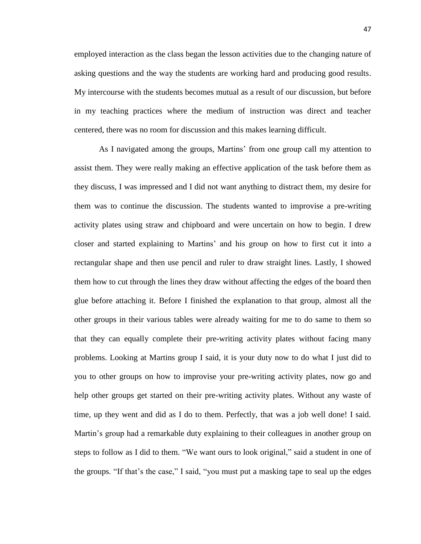employed interaction as the class began the lesson activities due to the changing nature of asking questions and the way the students are working hard and producing good results. My intercourse with the students becomes mutual as a result of our discussion, but before in my teaching practices where the medium of instruction was direct and teacher centered, there was no room for discussion and this makes learning difficult.

As I navigated among the groups, Martins' from one group call my attention to assist them. They were really making an effective application of the task before them as they discuss, I was impressed and I did not want anything to distract them, my desire for them was to continue the discussion. The students wanted to improvise a pre-writing activity plates using straw and chipboard and were uncertain on how to begin. I drew closer and started explaining to Martins' and his group on how to first cut it into a rectangular shape and then use pencil and ruler to draw straight lines. Lastly, I showed them how to cut through the lines they draw without affecting the edges of the board then glue before attaching it. Before I finished the explanation to that group, almost all the other groups in their various tables were already waiting for me to do same to them so that they can equally complete their pre-writing activity plates without facing many problems. Looking at Martins group I said, it is your duty now to do what I just did to you to other groups on how to improvise your pre-writing activity plates, now go and help other groups get started on their pre-writing activity plates. Without any waste of time, up they went and did as I do to them. Perfectly, that was a job well done! I said. Martin's group had a remarkable duty explaining to their colleagues in another group on steps to follow as I did to them. "We want ours to look original," said a student in one of the groups. "If that's the case," I said, "you must put a masking tape to seal up the edges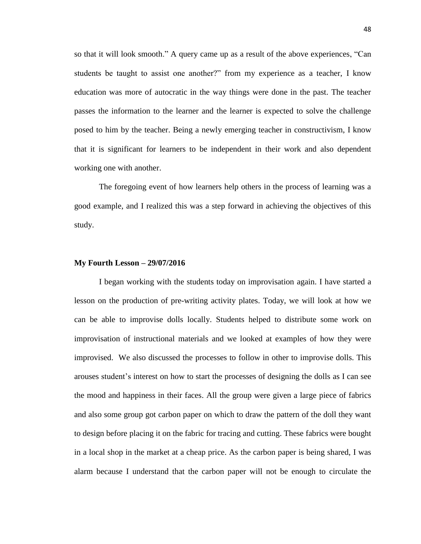so that it will look smooth." A query came up as a result of the above experiences, "Can students be taught to assist one another?" from my experience as a teacher, I know education was more of autocratic in the way things were done in the past. The teacher passes the information to the learner and the learner is expected to solve the challenge posed to him by the teacher. Being a newly emerging teacher in constructivism, I know that it is significant for learners to be independent in their work and also dependent working one with another.

The foregoing event of how learners help others in the process of learning was a good example, and I realized this was a step forward in achieving the objectives of this study.

#### **My Fourth Lesson – 29/07/2016**

I began working with the students today on improvisation again. I have started a lesson on the production of pre-writing activity plates. Today, we will look at how we can be able to improvise dolls locally. Students helped to distribute some work on improvisation of instructional materials and we looked at examples of how they were improvised. We also discussed the processes to follow in other to improvise dolls. This arouses student's interest on how to start the processes of designing the dolls as I can see the mood and happiness in their faces. All the group were given a large piece of fabrics and also some group got carbon paper on which to draw the pattern of the doll they want to design before placing it on the fabric for tracing and cutting. These fabrics were bought in a local shop in the market at a cheap price. As the carbon paper is being shared, I was alarm because I understand that the carbon paper will not be enough to circulate the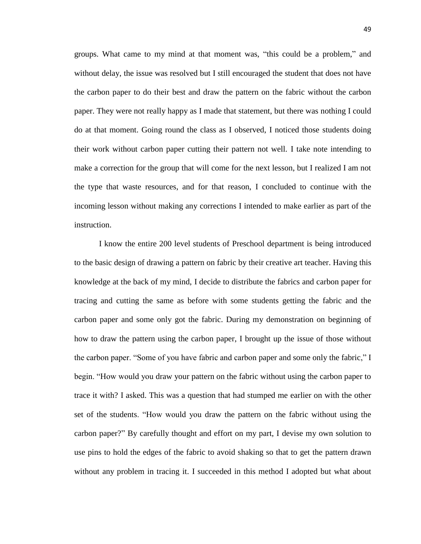groups. What came to my mind at that moment was, "this could be a problem," and without delay, the issue was resolved but I still encouraged the student that does not have the carbon paper to do their best and draw the pattern on the fabric without the carbon paper. They were not really happy as I made that statement, but there was nothing I could do at that moment. Going round the class as I observed, I noticed those students doing their work without carbon paper cutting their pattern not well. I take note intending to make a correction for the group that will come for the next lesson, but I realized I am not the type that waste resources, and for that reason, I concluded to continue with the incoming lesson without making any corrections I intended to make earlier as part of the instruction.

I know the entire 200 level students of Preschool department is being introduced to the basic design of drawing a pattern on fabric by their creative art teacher. Having this knowledge at the back of my mind, I decide to distribute the fabrics and carbon paper for tracing and cutting the same as before with some students getting the fabric and the carbon paper and some only got the fabric. During my demonstration on beginning of how to draw the pattern using the carbon paper, I brought up the issue of those without the carbon paper. "Some of you have fabric and carbon paper and some only the fabric," I begin. "How would you draw your pattern on the fabric without using the carbon paper to trace it with? I asked. This was a question that had stumped me earlier on with the other set of the students. "How would you draw the pattern on the fabric without using the carbon paper?" By carefully thought and effort on my part, I devise my own solution to use pins to hold the edges of the fabric to avoid shaking so that to get the pattern drawn without any problem in tracing it. I succeeded in this method I adopted but what about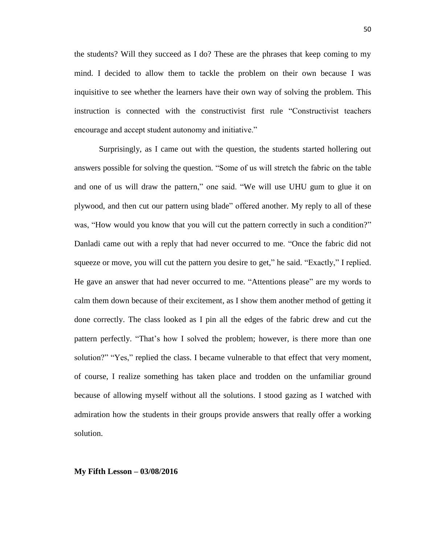the students? Will they succeed as I do? These are the phrases that keep coming to my mind. I decided to allow them to tackle the problem on their own because I was inquisitive to see whether the learners have their own way of solving the problem. This instruction is connected with the constructivist first rule "Constructivist teachers encourage and accept student autonomy and initiative."

Surprisingly, as I came out with the question, the students started hollering out answers possible for solving the question. "Some of us will stretch the fabric on the table and one of us will draw the pattern," one said. "We will use UHU gum to glue it on plywood, and then cut our pattern using blade" offered another. My reply to all of these was, "How would you know that you will cut the pattern correctly in such a condition?" Danladi came out with a reply that had never occurred to me. "Once the fabric did not squeeze or move, you will cut the pattern you desire to get," he said. "Exactly," I replied. He gave an answer that had never occurred to me. "Attentions please" are my words to calm them down because of their excitement, as I show them another method of getting it done correctly. The class looked as I pin all the edges of the fabric drew and cut the pattern perfectly. "That's how I solved the problem; however, is there more than one solution?" "Yes," replied the class. I became vulnerable to that effect that very moment, of course, I realize something has taken place and trodden on the unfamiliar ground because of allowing myself without all the solutions. I stood gazing as I watched with admiration how the students in their groups provide answers that really offer a working solution.

#### **My Fifth Lesson – 03/08/2016**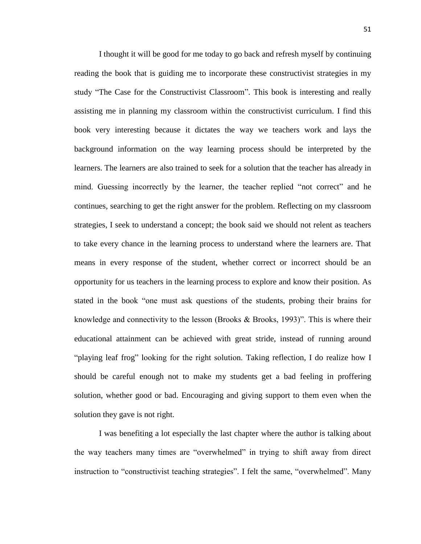I thought it will be good for me today to go back and refresh myself by continuing reading the book that is guiding me to incorporate these constructivist strategies in my study "The Case for the Constructivist Classroom". This book is interesting and really assisting me in planning my classroom within the constructivist curriculum. I find this book very interesting because it dictates the way we teachers work and lays the background information on the way learning process should be interpreted by the learners. The learners are also trained to seek for a solution that the teacher has already in mind. Guessing incorrectly by the learner, the teacher replied "not correct" and he continues, searching to get the right answer for the problem. Reflecting on my classroom strategies, I seek to understand a concept; the book said we should not relent as teachers to take every chance in the learning process to understand where the learners are. That means in every response of the student, whether correct or incorrect should be an opportunity for us teachers in the learning process to explore and know their position. As stated in the book "one must ask questions of the students, probing their brains for knowledge and connectivity to the lesson (Brooks  $\&$  Brooks, 1993)". This is where their educational attainment can be achieved with great stride, instead of running around "playing leaf frog" looking for the right solution. Taking reflection, I do realize how I should be careful enough not to make my students get a bad feeling in proffering solution, whether good or bad. Encouraging and giving support to them even when the solution they gave is not right.

I was benefiting a lot especially the last chapter where the author is talking about the way teachers many times are "overwhelmed" in trying to shift away from direct instruction to "constructivist teaching strategies". I felt the same, "overwhelmed". Many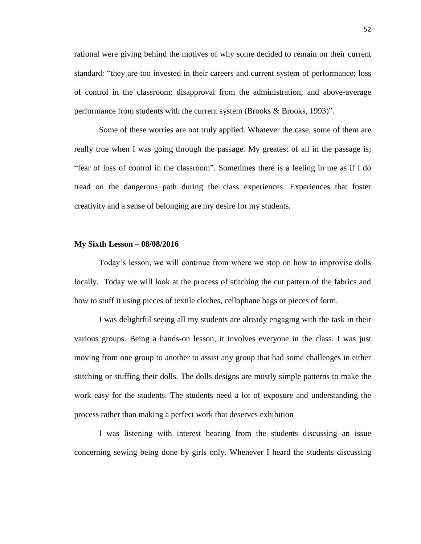rational were giving behind the motives of why some decided to remain on their current standard: "they are too invested in their careers and current system of performance; loss of control in the classroom; disapproval from the administration; and above-average performance from students with the current system (Brooks & Brooks, 1993)".

Some of these worries are not truly applied. Whatever the case, some of them are really true when I was going through the passage. My greatest of all in the passage is; "fear of loss of control in the classroom". Sometimes there is a feeling in me as if I do tread on the dangerous path during the class experiences. Experiences that foster creativity and a sense of belonging are my desire for my students.

### **My Sixth Lesson – 08/08/2016**

Today's lesson, we will continue from where we stop on how to improvise dolls locally. Today we will look at the process of stitching the cut pattern of the fabrics and how to stuff it using pieces of textile clothes, cellophane bags or pieces of form.

I was delightful seeing all my students are already engaging with the task in their various groups. Being a hands-on lesson, it involves everyone in the class. I was just moving from one group to another to assist any group that had some challenges in either stitching or stuffing their dolls. The dolls designs are mostly simple patterns to make the work easy for the students. The students need a lot of exposure and understanding the process rather than making a perfect work that deserves exhibition

I was listening with interest hearing from the students discussing an issue concerning sewing being done by girls only. Whenever I heard the students discussing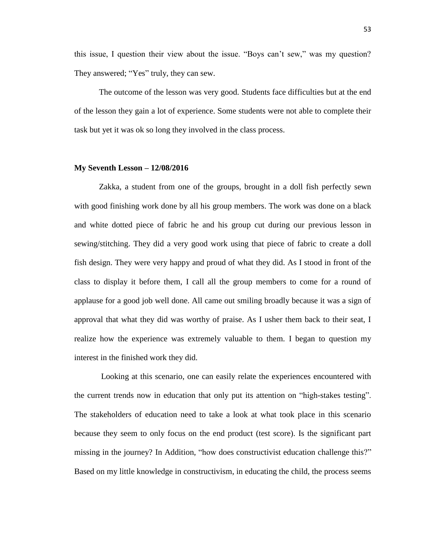this issue, I question their view about the issue. "Boys can't sew," was my question? They answered; "Yes" truly, they can sew.

The outcome of the lesson was very good. Students face difficulties but at the end of the lesson they gain a lot of experience. Some students were not able to complete their task but yet it was ok so long they involved in the class process.

### **My Seventh Lesson – 12/08/2016**

Zakka, a student from one of the groups, brought in a doll fish perfectly sewn with good finishing work done by all his group members. The work was done on a black and white dotted piece of fabric he and his group cut during our previous lesson in sewing/stitching. They did a very good work using that piece of fabric to create a doll fish design. They were very happy and proud of what they did. As I stood in front of the class to display it before them, I call all the group members to come for a round of applause for a good job well done. All came out smiling broadly because it was a sign of approval that what they did was worthy of praise. As I usher them back to their seat, I realize how the experience was extremely valuable to them. I began to question my interest in the finished work they did.

Looking at this scenario, one can easily relate the experiences encountered with the current trends now in education that only put its attention on "high-stakes testing". The stakeholders of education need to take a look at what took place in this scenario because they seem to only focus on the end product (test score). Is the significant part missing in the journey? In Addition, "how does constructivist education challenge this?" Based on my little knowledge in constructivism, in educating the child, the process seems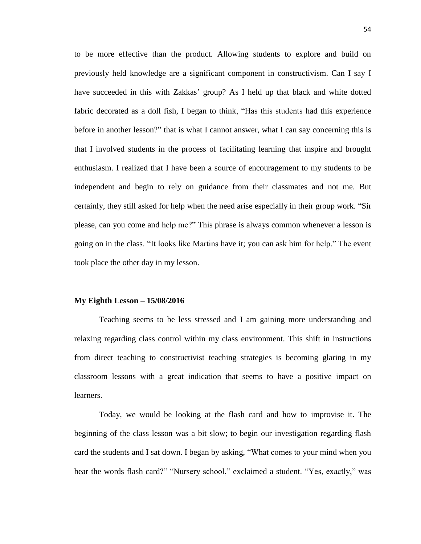to be more effective than the product. Allowing students to explore and build on previously held knowledge are a significant component in constructivism. Can I say I have succeeded in this with Zakkas' group? As I held up that black and white dotted fabric decorated as a doll fish, I began to think, "Has this students had this experience before in another lesson?" that is what I cannot answer, what I can say concerning this is that I involved students in the process of facilitating learning that inspire and brought enthusiasm. I realized that I have been a source of encouragement to my students to be independent and begin to rely on guidance from their classmates and not me. But certainly, they still asked for help when the need arise especially in their group work. "Sir please, can you come and help me?" This phrase is always common whenever a lesson is going on in the class. "It looks like Martins have it; you can ask him for help." The event took place the other day in my lesson.

#### **My Eighth Lesson – 15/08/2016**

Teaching seems to be less stressed and I am gaining more understanding and relaxing regarding class control within my class environment. This shift in instructions from direct teaching to constructivist teaching strategies is becoming glaring in my classroom lessons with a great indication that seems to have a positive impact on learners.

Today, we would be looking at the flash card and how to improvise it. The beginning of the class lesson was a bit slow; to begin our investigation regarding flash card the students and I sat down. I began by asking, "What comes to your mind when you hear the words flash card?" "Nursery school," exclaimed a student. "Yes, exactly," was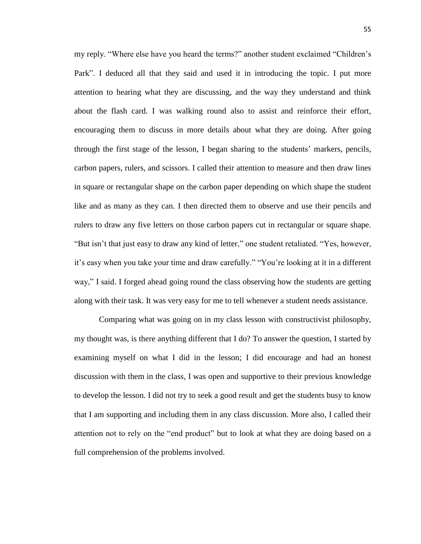my reply. "Where else have you heard the terms?" another student exclaimed "Children's Park". I deduced all that they said and used it in introducing the topic. I put more attention to hearing what they are discussing, and the way they understand and think about the flash card. I was walking round also to assist and reinforce their effort, encouraging them to discuss in more details about what they are doing. After going through the first stage of the lesson, I began sharing to the students' markers, pencils, carbon papers, rulers, and scissors. I called their attention to measure and then draw lines in square or rectangular shape on the carbon paper depending on which shape the student like and as many as they can. I then directed them to observe and use their pencils and rulers to draw any five letters on those carbon papers cut in rectangular or square shape. "But isn't that just easy to draw any kind of letter," one student retaliated. "Yes, however, it's easy when you take your time and draw carefully." "You're looking at it in a different way," I said. I forged ahead going round the class observing how the students are getting along with their task. It was very easy for me to tell whenever a student needs assistance.

Comparing what was going on in my class lesson with constructivist philosophy, my thought was, is there anything different that I do? To answer the question, I started by examining myself on what I did in the lesson; I did encourage and had an honest discussion with them in the class, I was open and supportive to their previous knowledge to develop the lesson. I did not try to seek a good result and get the students busy to know that I am supporting and including them in any class discussion. More also, I called their attention not to rely on the "end product" but to look at what they are doing based on a full comprehension of the problems involved.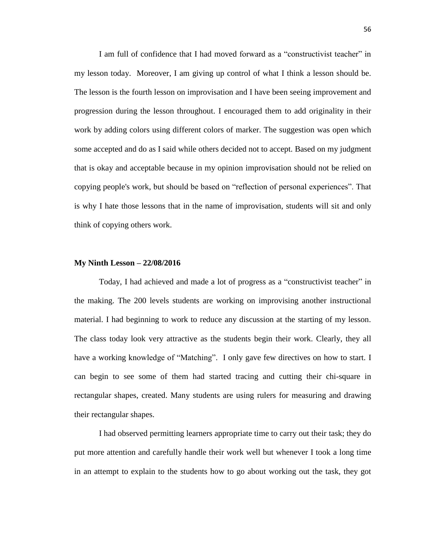I am full of confidence that I had moved forward as a "constructivist teacher" in my lesson today. Moreover, I am giving up control of what I think a lesson should be. The lesson is the fourth lesson on improvisation and I have been seeing improvement and progression during the lesson throughout. I encouraged them to add originality in their work by adding colors using different colors of marker. The suggestion was open which some accepted and do as I said while others decided not to accept. Based on my judgment that is okay and acceptable because in my opinion improvisation should not be relied on copying people's work, but should be based on "reflection of personal experiences". That is why I hate those lessons that in the name of improvisation, students will sit and only think of copying others work.

#### **My Ninth Lesson – 22/08/2016**

Today, I had achieved and made a lot of progress as a "constructivist teacher" in the making. The 200 levels students are working on improvising another instructional material. I had beginning to work to reduce any discussion at the starting of my lesson. The class today look very attractive as the students begin their work. Clearly, they all have a working knowledge of "Matching". I only gave few directives on how to start. I can begin to see some of them had started tracing and cutting their chi-square in rectangular shapes, created. Many students are using rulers for measuring and drawing their rectangular shapes.

I had observed permitting learners appropriate time to carry out their task; they do put more attention and carefully handle their work well but whenever I took a long time in an attempt to explain to the students how to go about working out the task, they got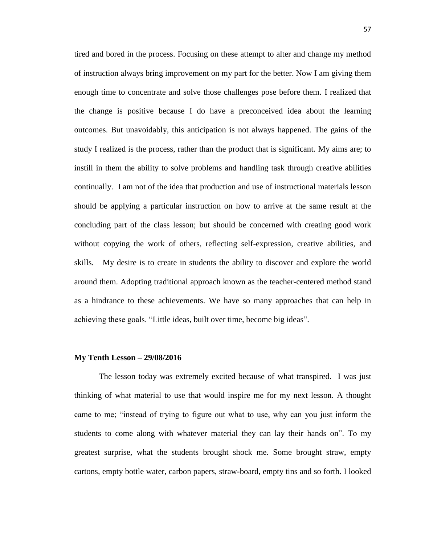tired and bored in the process. Focusing on these attempt to alter and change my method of instruction always bring improvement on my part for the better. Now I am giving them enough time to concentrate and solve those challenges pose before them. I realized that the change is positive because I do have a preconceived idea about the learning outcomes. But unavoidably, this anticipation is not always happened. The gains of the study I realized is the process, rather than the product that is significant. My aims are; to instill in them the ability to solve problems and handling task through creative abilities continually. I am not of the idea that production and use of instructional materials lesson should be applying a particular instruction on how to arrive at the same result at the concluding part of the class lesson; but should be concerned with creating good work without copying the work of others, reflecting self-expression, creative abilities, and skills. My desire is to create in students the ability to discover and explore the world around them. Adopting traditional approach known as the teacher-centered method stand as a hindrance to these achievements. We have so many approaches that can help in achieving these goals. "Little ideas, built over time, become big ideas".

#### **My Tenth Lesson – 29/08/2016**

The lesson today was extremely excited because of what transpired. I was just thinking of what material to use that would inspire me for my next lesson. A thought came to me; "instead of trying to figure out what to use, why can you just inform the students to come along with whatever material they can lay their hands on". To my greatest surprise, what the students brought shock me. Some brought straw, empty cartons, empty bottle water, carbon papers, straw-board, empty tins and so forth. I looked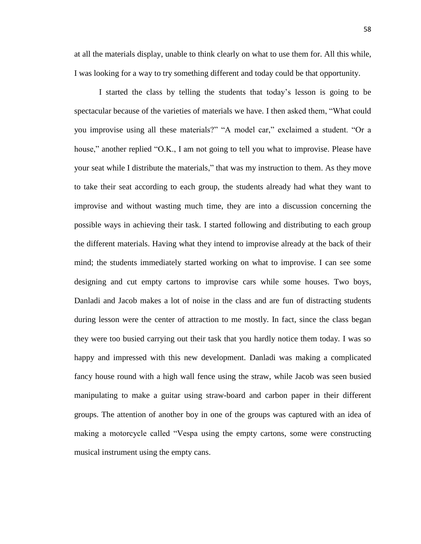at all the materials display, unable to think clearly on what to use them for. All this while, I was looking for a way to try something different and today could be that opportunity.

I started the class by telling the students that today's lesson is going to be spectacular because of the varieties of materials we have. I then asked them, "What could you improvise using all these materials?" "A model car," exclaimed a student. "Or a house," another replied "O.K., I am not going to tell you what to improvise. Please have your seat while I distribute the materials," that was my instruction to them. As they move to take their seat according to each group, the students already had what they want to improvise and without wasting much time, they are into a discussion concerning the possible ways in achieving their task. I started following and distributing to each group the different materials. Having what they intend to improvise already at the back of their mind; the students immediately started working on what to improvise. I can see some designing and cut empty cartons to improvise cars while some houses. Two boys, Danladi and Jacob makes a lot of noise in the class and are fun of distracting students during lesson were the center of attraction to me mostly. In fact, since the class began they were too busied carrying out their task that you hardly notice them today. I was so happy and impressed with this new development. Danladi was making a complicated fancy house round with a high wall fence using the straw, while Jacob was seen busied manipulating to make a guitar using straw-board and carbon paper in their different groups. The attention of another boy in one of the groups was captured with an idea of making a motorcycle called "Vespa using the empty cartons, some were constructing musical instrument using the empty cans.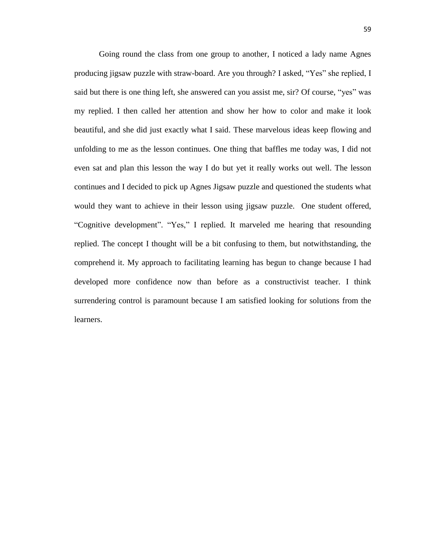Going round the class from one group to another, I noticed a lady name Agnes producing jigsaw puzzle with straw-board. Are you through? I asked, "Yes" she replied, I said but there is one thing left, she answered can you assist me, sir? Of course, "yes" was my replied. I then called her attention and show her how to color and make it look beautiful, and she did just exactly what I said. These marvelous ideas keep flowing and unfolding to me as the lesson continues. One thing that baffles me today was, I did not even sat and plan this lesson the way I do but yet it really works out well. The lesson continues and I decided to pick up Agnes Jigsaw puzzle and questioned the students what would they want to achieve in their lesson using jigsaw puzzle. One student offered, "Cognitive development". "Yes," I replied. It marveled me hearing that resounding replied. The concept I thought will be a bit confusing to them, but notwithstanding, the comprehend it. My approach to facilitating learning has begun to change because I had developed more confidence now than before as a constructivist teacher. I think surrendering control is paramount because I am satisfied looking for solutions from the learners.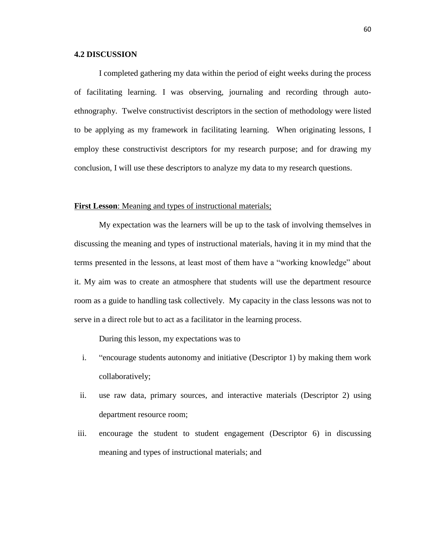# **4.2 DISCUSSION**

I completed gathering my data within the period of eight weeks during the process of facilitating learning. I was observing, journaling and recording through autoethnography. Twelve constructivist descriptors in the section of methodology were listed to be applying as my framework in facilitating learning. When originating lessons, I employ these constructivist descriptors for my research purpose; and for drawing my conclusion, I will use these descriptors to analyze my data to my research questions.

# **First Lesson:** Meaning and types of instructional materials;

My expectation was the learners will be up to the task of involving themselves in discussing the meaning and types of instructional materials, having it in my mind that the terms presented in the lessons, at least most of them have a "working knowledge" about it. My aim was to create an atmosphere that students will use the department resource room as a guide to handling task collectively. My capacity in the class lessons was not to serve in a direct role but to act as a facilitator in the learning process.

During this lesson, my expectations was to

- i. "encourage students autonomy and initiative (Descriptor 1) by making them work collaboratively;
- ii. use raw data, primary sources, and interactive materials (Descriptor 2) using department resource room;
- iii. encourage the student to student engagement (Descriptor 6) in discussing meaning and types of instructional materials; and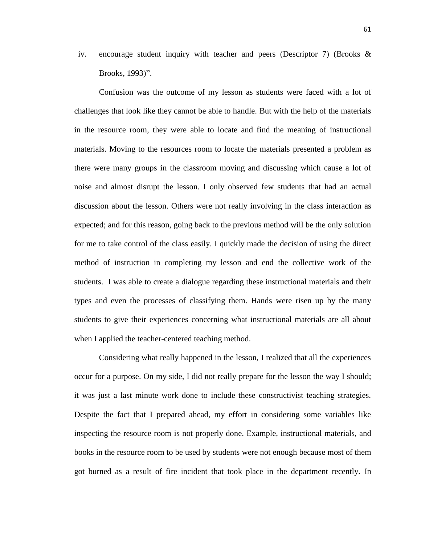iv. encourage student inquiry with teacher and peers (Descriptor 7) (Brooks  $\&$ Brooks, 1993)".

Confusion was the outcome of my lesson as students were faced with a lot of challenges that look like they cannot be able to handle. But with the help of the materials in the resource room, they were able to locate and find the meaning of instructional materials. Moving to the resources room to locate the materials presented a problem as there were many groups in the classroom moving and discussing which cause a lot of noise and almost disrupt the lesson. I only observed few students that had an actual discussion about the lesson. Others were not really involving in the class interaction as expected; and for this reason, going back to the previous method will be the only solution for me to take control of the class easily. I quickly made the decision of using the direct method of instruction in completing my lesson and end the collective work of the students. I was able to create a dialogue regarding these instructional materials and their types and even the processes of classifying them. Hands were risen up by the many students to give their experiences concerning what instructional materials are all about when I applied the teacher-centered teaching method.

Considering what really happened in the lesson, I realized that all the experiences occur for a purpose. On my side, I did not really prepare for the lesson the way I should; it was just a last minute work done to include these constructivist teaching strategies. Despite the fact that I prepared ahead, my effort in considering some variables like inspecting the resource room is not properly done. Example, instructional materials, and books in the resource room to be used by students were not enough because most of them got burned as a result of fire incident that took place in the department recently. In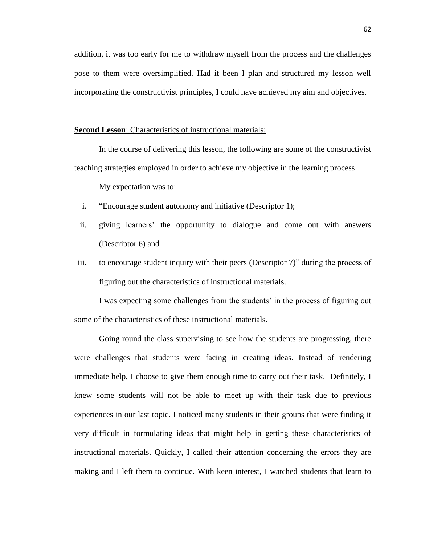addition, it was too early for me to withdraw myself from the process and the challenges pose to them were oversimplified. Had it been I plan and structured my lesson well incorporating the constructivist principles, I could have achieved my aim and objectives.

# **Second Lesson**: Characteristics of instructional materials;

In the course of delivering this lesson, the following are some of the constructivist teaching strategies employed in order to achieve my objective in the learning process.

My expectation was to:

- i. "Encourage student autonomy and initiative (Descriptor 1);
- ii. giving learners' the opportunity to dialogue and come out with answers (Descriptor 6) and
- iii. to encourage student inquiry with their peers (Descriptor 7)" during the process of figuring out the characteristics of instructional materials.

I was expecting some challenges from the students' in the process of figuring out some of the characteristics of these instructional materials.

Going round the class supervising to see how the students are progressing, there were challenges that students were facing in creating ideas. Instead of rendering immediate help, I choose to give them enough time to carry out their task. Definitely, I knew some students will not be able to meet up with their task due to previous experiences in our last topic. I noticed many students in their groups that were finding it very difficult in formulating ideas that might help in getting these characteristics of instructional materials. Quickly, I called their attention concerning the errors they are making and I left them to continue. With keen interest, I watched students that learn to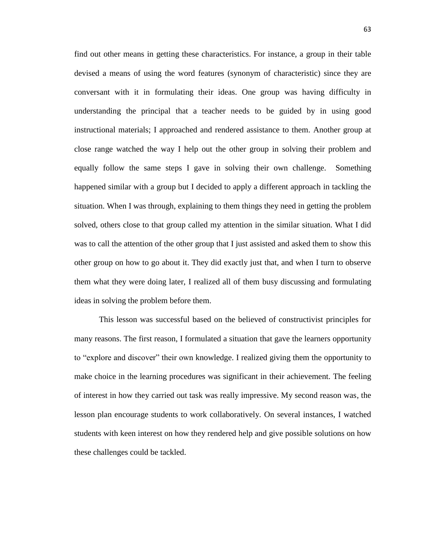find out other means in getting these characteristics. For instance, a group in their table devised a means of using the word features (synonym of characteristic) since they are conversant with it in formulating their ideas. One group was having difficulty in understanding the principal that a teacher needs to be guided by in using good instructional materials; I approached and rendered assistance to them. Another group at close range watched the way I help out the other group in solving their problem and equally follow the same steps I gave in solving their own challenge. Something happened similar with a group but I decided to apply a different approach in tackling the situation. When I was through, explaining to them things they need in getting the problem solved, others close to that group called my attention in the similar situation. What I did was to call the attention of the other group that I just assisted and asked them to show this other group on how to go about it. They did exactly just that, and when I turn to observe them what they were doing later, I realized all of them busy discussing and formulating ideas in solving the problem before them.

This lesson was successful based on the believed of constructivist principles for many reasons. The first reason, I formulated a situation that gave the learners opportunity to "explore and discover" their own knowledge. I realized giving them the opportunity to make choice in the learning procedures was significant in their achievement. The feeling of interest in how they carried out task was really impressive. My second reason was, the lesson plan encourage students to work collaboratively. On several instances, I watched students with keen interest on how they rendered help and give possible solutions on how these challenges could be tackled.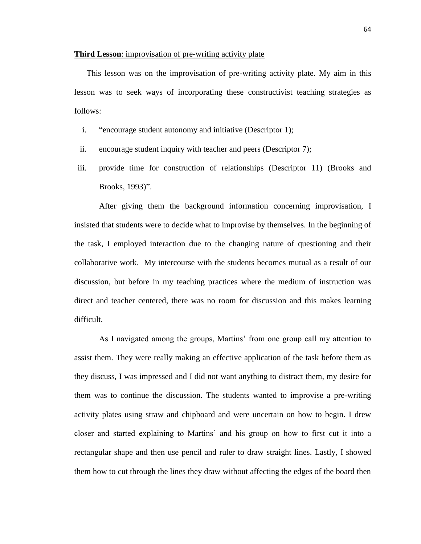### **Third Lesson**: improvisation of pre-writing activity plate

This lesson was on the improvisation of pre-writing activity plate. My aim in this lesson was to seek ways of incorporating these constructivist teaching strategies as follows:

- i. "encourage student autonomy and initiative (Descriptor 1);
- ii. encourage student inquiry with teacher and peers (Descriptor 7);
- iii. provide time for construction of relationships (Descriptor 11) (Brooks and Brooks, 1993)".

After giving them the background information concerning improvisation, I insisted that students were to decide what to improvise by themselves. In the beginning of the task, I employed interaction due to the changing nature of questioning and their collaborative work. My intercourse with the students becomes mutual as a result of our discussion, but before in my teaching practices where the medium of instruction was direct and teacher centered, there was no room for discussion and this makes learning difficult.

As I navigated among the groups, Martins' from one group call my attention to assist them. They were really making an effective application of the task before them as they discuss, I was impressed and I did not want anything to distract them, my desire for them was to continue the discussion. The students wanted to improvise a pre-writing activity plates using straw and chipboard and were uncertain on how to begin. I drew closer and started explaining to Martins' and his group on how to first cut it into a rectangular shape and then use pencil and ruler to draw straight lines. Lastly, I showed them how to cut through the lines they draw without affecting the edges of the board then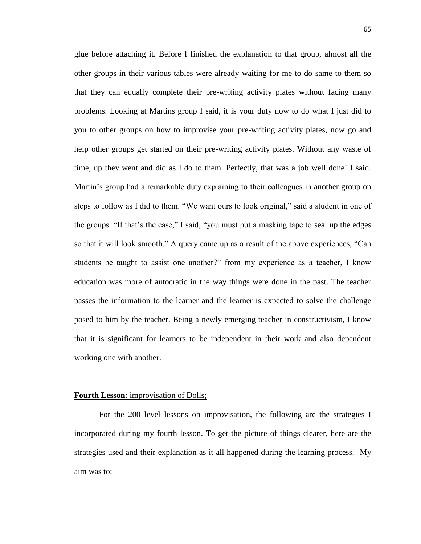glue before attaching it. Before I finished the explanation to that group, almost all the other groups in their various tables were already waiting for me to do same to them so that they can equally complete their pre-writing activity plates without facing many problems. Looking at Martins group I said, it is your duty now to do what I just did to you to other groups on how to improvise your pre-writing activity plates, now go and help other groups get started on their pre-writing activity plates. Without any waste of time, up they went and did as I do to them. Perfectly, that was a job well done! I said. Martin's group had a remarkable duty explaining to their colleagues in another group on steps to follow as I did to them. "We want ours to look original," said a student in one of the groups. "If that's the case," I said, "you must put a masking tape to seal up the edges so that it will look smooth." A query came up as a result of the above experiences, "Can students be taught to assist one another?" from my experience as a teacher, I know education was more of autocratic in the way things were done in the past. The teacher passes the information to the learner and the learner is expected to solve the challenge posed to him by the teacher. Being a newly emerging teacher in constructivism, I know that it is significant for learners to be independent in their work and also dependent working one with another.

#### **Fourth Lesson**: improvisation of Dolls;

For the 200 level lessons on improvisation, the following are the strategies I incorporated during my fourth lesson. To get the picture of things clearer, here are the strategies used and their explanation as it all happened during the learning process. My aim was to: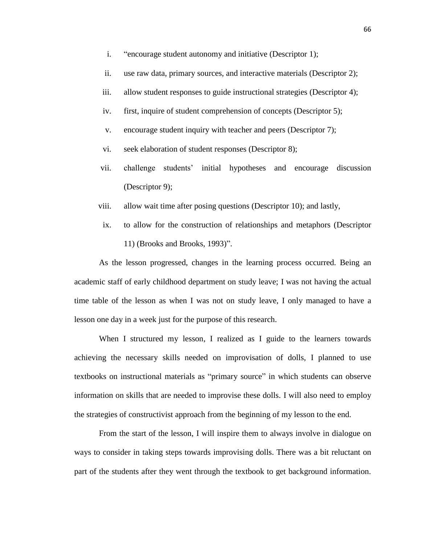- i. "encourage student autonomy and initiative (Descriptor 1);
- ii. use raw data, primary sources, and interactive materials (Descriptor 2);
- iii. allow student responses to guide instructional strategies (Descriptor 4);
- iv. first, inquire of student comprehension of concepts (Descriptor 5);
- v. encourage student inquiry with teacher and peers (Descriptor 7);
- vi. seek elaboration of student responses (Descriptor 8);
- vii. challenge students' initial hypotheses and encourage discussion (Descriptor 9);
- viii. allow wait time after posing questions (Descriptor 10); and lastly,
- ix. to allow for the construction of relationships and metaphors (Descriptor 11) (Brooks and Brooks, 1993)".

As the lesson progressed, changes in the learning process occurred. Being an academic staff of early childhood department on study leave; I was not having the actual time table of the lesson as when I was not on study leave, I only managed to have a lesson one day in a week just for the purpose of this research.

When I structured my lesson, I realized as I guide to the learners towards achieving the necessary skills needed on improvisation of dolls, I planned to use textbooks on instructional materials as "primary source" in which students can observe information on skills that are needed to improvise these dolls. I will also need to employ the strategies of constructivist approach from the beginning of my lesson to the end.

From the start of the lesson, I will inspire them to always involve in dialogue on ways to consider in taking steps towards improvising dolls. There was a bit reluctant on part of the students after they went through the textbook to get background information.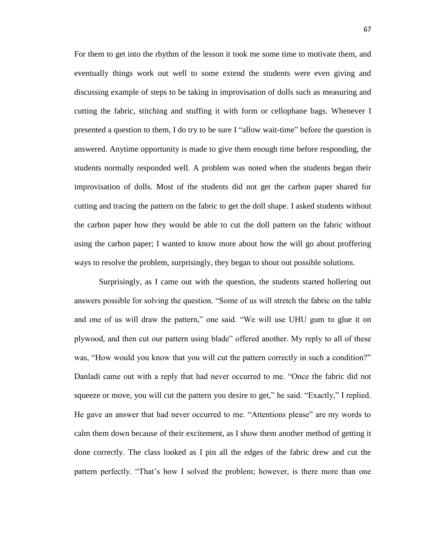For them to get into the rhythm of the lesson it took me some time to motivate them, and eventually things work out well to some extend the students were even giving and discussing example of steps to be taking in improvisation of dolls such as measuring and cutting the fabric, stitching and stuffing it with form or cellophane bags. Whenever I presented a question to them, I do try to be sure I "allow wait-time" before the question is answered. Anytime opportunity is made to give them enough time before responding, the students normally responded well. A problem was noted when the students began their improvisation of dolls. Most of the students did not get the carbon paper shared for cutting and tracing the pattern on the fabric to get the doll shape. I asked students without the carbon paper how they would be able to cut the doll pattern on the fabric without using the carbon paper; I wanted to know more about how the will go about proffering ways to resolve the problem, surprisingly, they began to shout out possible solutions.

Surprisingly, as I came out with the question, the students started hollering out answers possible for solving the question. "Some of us will stretch the fabric on the table and one of us will draw the pattern," one said. "We will use UHU gum to glue it on plywood, and then cut our pattern using blade" offered another. My reply to all of these was, "How would you know that you will cut the pattern correctly in such a condition?" Danladi came out with a reply that had never occurred to me. "Once the fabric did not squeeze or move, you will cut the pattern you desire to get," he said. "Exactly," I replied. He gave an answer that had never occurred to me. "Attentions please" are my words to calm them down because of their excitement, as I show them another method of getting it done correctly. The class looked as I pin all the edges of the fabric drew and cut the pattern perfectly. "That's how I solved the problem; however, is there more than one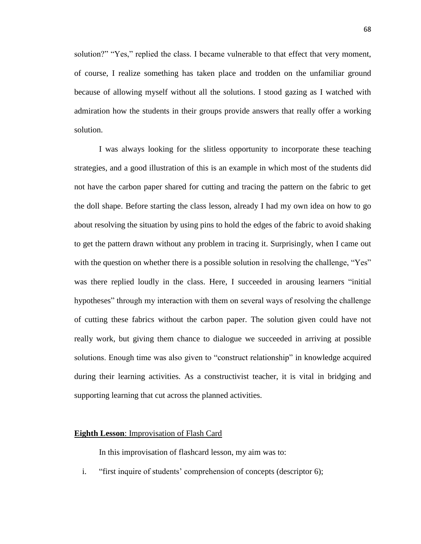solution?" "Yes," replied the class. I became vulnerable to that effect that very moment, of course, I realize something has taken place and trodden on the unfamiliar ground because of allowing myself without all the solutions. I stood gazing as I watched with admiration how the students in their groups provide answers that really offer a working solution.

I was always looking for the slitless opportunity to incorporate these teaching strategies, and a good illustration of this is an example in which most of the students did not have the carbon paper shared for cutting and tracing the pattern on the fabric to get the doll shape. Before starting the class lesson, already I had my own idea on how to go about resolving the situation by using pins to hold the edges of the fabric to avoid shaking to get the pattern drawn without any problem in tracing it. Surprisingly, when I came out with the question on whether there is a possible solution in resolving the challenge, "Yes" was there replied loudly in the class. Here, I succeeded in arousing learners "initial hypotheses" through my interaction with them on several ways of resolving the challenge of cutting these fabrics without the carbon paper. The solution given could have not really work, but giving them chance to dialogue we succeeded in arriving at possible solutions. Enough time was also given to "construct relationship" in knowledge acquired during their learning activities. As a constructivist teacher, it is vital in bridging and supporting learning that cut across the planned activities.

#### **Eighth Lesson**: Improvisation of Flash Card

In this improvisation of flashcard lesson, my aim was to:

i. "first inquire of students' comprehension of concepts (descriptor 6);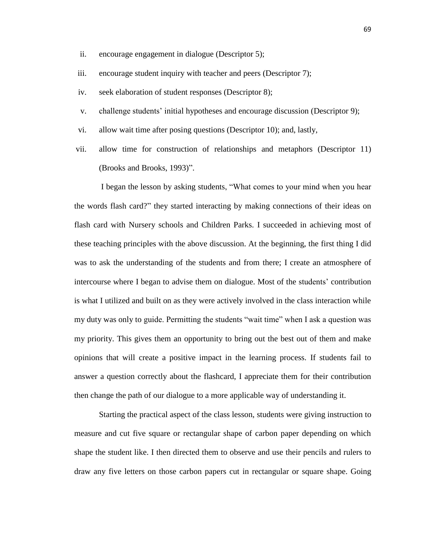- ii. encourage engagement in dialogue (Descriptor 5);
- iii. encourage student inquiry with teacher and peers (Descriptor 7);
- iv. seek elaboration of student responses (Descriptor 8);
- v. challenge students' initial hypotheses and encourage discussion (Descriptor 9);
- vi. allow wait time after posing questions (Descriptor 10); and, lastly,
- vii. allow time for construction of relationships and metaphors (Descriptor 11) (Brooks and Brooks, 1993)".

I began the lesson by asking students, "What comes to your mind when you hear the words flash card?" they started interacting by making connections of their ideas on flash card with Nursery schools and Children Parks. I succeeded in achieving most of these teaching principles with the above discussion. At the beginning, the first thing I did was to ask the understanding of the students and from there; I create an atmosphere of intercourse where I began to advise them on dialogue. Most of the students' contribution is what I utilized and built on as they were actively involved in the class interaction while my duty was only to guide. Permitting the students "wait time" when I ask a question was my priority. This gives them an opportunity to bring out the best out of them and make opinions that will create a positive impact in the learning process. If students fail to answer a question correctly about the flashcard, I appreciate them for their contribution then change the path of our dialogue to a more applicable way of understanding it.

Starting the practical aspect of the class lesson, students were giving instruction to measure and cut five square or rectangular shape of carbon paper depending on which shape the student like. I then directed them to observe and use their pencils and rulers to draw any five letters on those carbon papers cut in rectangular or square shape. Going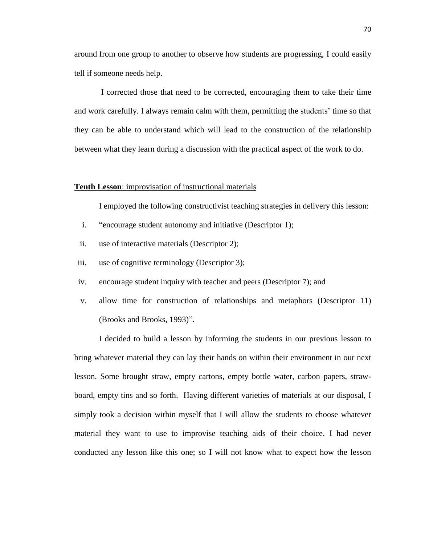around from one group to another to observe how students are progressing, I could easily tell if someone needs help.

I corrected those that need to be corrected, encouraging them to take their time and work carefully. I always remain calm with them, permitting the students' time so that they can be able to understand which will lead to the construction of the relationship between what they learn during a discussion with the practical aspect of the work to do.

# **Tenth Lesson**: improvisation of instructional materials

I employed the following constructivist teaching strategies in delivery this lesson:

- i. "encourage student autonomy and initiative (Descriptor 1);
- ii. use of interactive materials (Descriptor 2);
- iii. use of cognitive terminology (Descriptor 3);
- iv. encourage student inquiry with teacher and peers (Descriptor 7); and
- v. allow time for construction of relationships and metaphors (Descriptor 11) (Brooks and Brooks, 1993)".

I decided to build a lesson by informing the students in our previous lesson to bring whatever material they can lay their hands on within their environment in our next lesson. Some brought straw, empty cartons, empty bottle water, carbon papers, strawboard, empty tins and so forth. Having different varieties of materials at our disposal, I simply took a decision within myself that I will allow the students to choose whatever material they want to use to improvise teaching aids of their choice. I had never conducted any lesson like this one; so I will not know what to expect how the lesson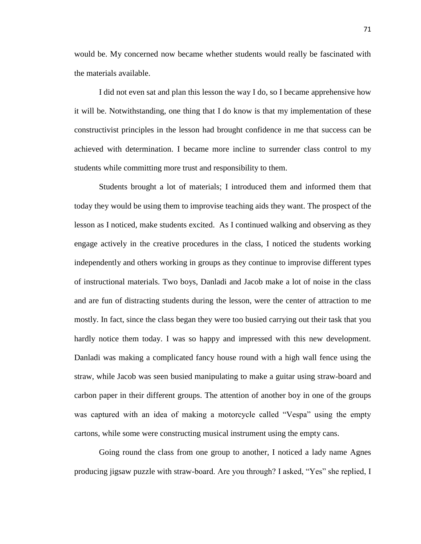would be. My concerned now became whether students would really be fascinated with the materials available.

I did not even sat and plan this lesson the way I do, so I became apprehensive how it will be. Notwithstanding, one thing that I do know is that my implementation of these constructivist principles in the lesson had brought confidence in me that success can be achieved with determination. I became more incline to surrender class control to my students while committing more trust and responsibility to them.

Students brought a lot of materials; I introduced them and informed them that today they would be using them to improvise teaching aids they want. The prospect of the lesson as I noticed, make students excited. As I continued walking and observing as they engage actively in the creative procedures in the class, I noticed the students working independently and others working in groups as they continue to improvise different types of instructional materials. Two boys, Danladi and Jacob make a lot of noise in the class and are fun of distracting students during the lesson, were the center of attraction to me mostly. In fact, since the class began they were too busied carrying out their task that you hardly notice them today. I was so happy and impressed with this new development. Danladi was making a complicated fancy house round with a high wall fence using the straw, while Jacob was seen busied manipulating to make a guitar using straw-board and carbon paper in their different groups. The attention of another boy in one of the groups was captured with an idea of making a motorcycle called "Vespa" using the empty cartons, while some were constructing musical instrument using the empty cans.

Going round the class from one group to another, I noticed a lady name Agnes producing jigsaw puzzle with straw-board. Are you through? I asked, "Yes" she replied, I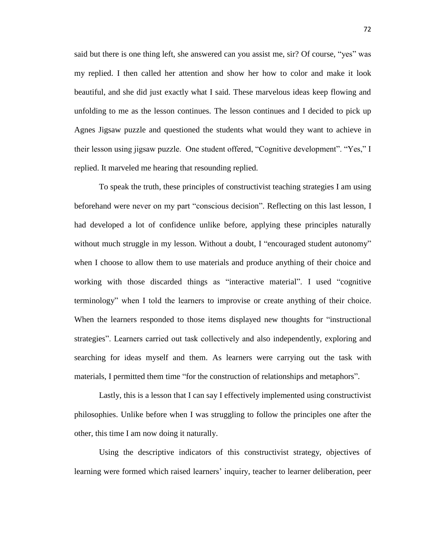said but there is one thing left, she answered can you assist me, sir? Of course, "yes" was my replied. I then called her attention and show her how to color and make it look beautiful, and she did just exactly what I said. These marvelous ideas keep flowing and unfolding to me as the lesson continues. The lesson continues and I decided to pick up Agnes Jigsaw puzzle and questioned the students what would they want to achieve in their lesson using jigsaw puzzle. One student offered, "Cognitive development". "Yes," I replied. It marveled me hearing that resounding replied.

To speak the truth, these principles of constructivist teaching strategies I am using beforehand were never on my part "conscious decision". Reflecting on this last lesson, I had developed a lot of confidence unlike before, applying these principles naturally without much struggle in my lesson. Without a doubt, I "encouraged student autonomy" when I choose to allow them to use materials and produce anything of their choice and working with those discarded things as "interactive material". I used "cognitive terminology" when I told the learners to improvise or create anything of their choice. When the learners responded to those items displayed new thoughts for "instructional strategies". Learners carried out task collectively and also independently, exploring and searching for ideas myself and them. As learners were carrying out the task with materials, I permitted them time "for the construction of relationships and metaphors".

Lastly, this is a lesson that I can say I effectively implemented using constructivist philosophies. Unlike before when I was struggling to follow the principles one after the other, this time I am now doing it naturally.

Using the descriptive indicators of this constructivist strategy, objectives of learning were formed which raised learners' inquiry, teacher to learner deliberation, peer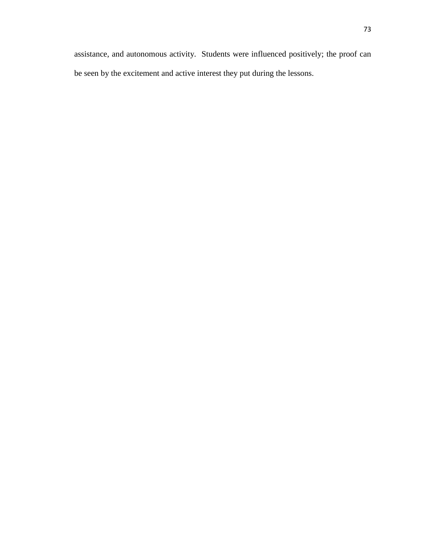assistance, and autonomous activity. Students were influenced positively; the proof can be seen by the excitement and active interest they put during the lessons.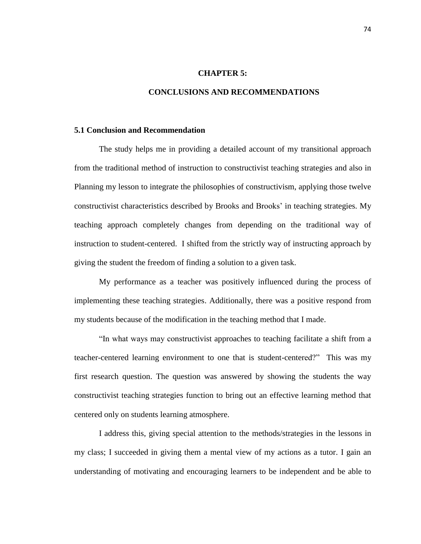# **CHAPTER 5:**

# **CONCLUSIONS AND RECOMMENDATIONS**

## **5.1 Conclusion and Recommendation**

The study helps me in providing a detailed account of my transitional approach from the traditional method of instruction to constructivist teaching strategies and also in Planning my lesson to integrate the philosophies of constructivism, applying those twelve constructivist characteristics described by Brooks and Brooks' in teaching strategies. My teaching approach completely changes from depending on the traditional way of instruction to student-centered. I shifted from the strictly way of instructing approach by giving the student the freedom of finding a solution to a given task.

My performance as a teacher was positively influenced during the process of implementing these teaching strategies. Additionally, there was a positive respond from my students because of the modification in the teaching method that I made.

"In what ways may constructivist approaches to teaching facilitate a shift from a teacher-centered learning environment to one that is student-centered?" This was my first research question. The question was answered by showing the students the way constructivist teaching strategies function to bring out an effective learning method that centered only on students learning atmosphere.

I address this, giving special attention to the methods/strategies in the lessons in my class; I succeeded in giving them a mental view of my actions as a tutor. I gain an understanding of motivating and encouraging learners to be independent and be able to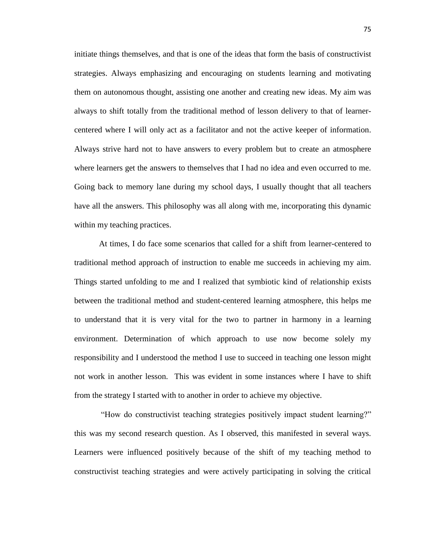initiate things themselves, and that is one of the ideas that form the basis of constructivist strategies. Always emphasizing and encouraging on students learning and motivating them on autonomous thought, assisting one another and creating new ideas. My aim was always to shift totally from the traditional method of lesson delivery to that of learnercentered where I will only act as a facilitator and not the active keeper of information. Always strive hard not to have answers to every problem but to create an atmosphere where learners get the answers to themselves that I had no idea and even occurred to me. Going back to memory lane during my school days, I usually thought that all teachers have all the answers. This philosophy was all along with me, incorporating this dynamic within my teaching practices.

At times, I do face some scenarios that called for a shift from learner-centered to traditional method approach of instruction to enable me succeeds in achieving my aim. Things started unfolding to me and I realized that symbiotic kind of relationship exists between the traditional method and student-centered learning atmosphere, this helps me to understand that it is very vital for the two to partner in harmony in a learning environment. Determination of which approach to use now become solely my responsibility and I understood the method I use to succeed in teaching one lesson might not work in another lesson. This was evident in some instances where I have to shift from the strategy I started with to another in order to achieve my objective.

"How do constructivist teaching strategies positively impact student learning?" this was my second research question. As I observed, this manifested in several ways. Learners were influenced positively because of the shift of my teaching method to constructivist teaching strategies and were actively participating in solving the critical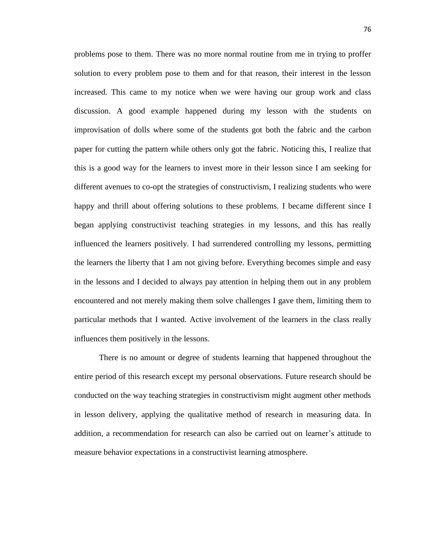problems pose to them. There was no more normal routine from me in trying to proffer solution to every problem pose to them and for that reason, their interest in the lesson increased. This came to my notice when we were having our group work and class discussion. A good example happened during my lesson with the students on improvisation of dolls where some of the students got both the fabric and the carbon paper for cutting the pattern while others only got the fabric. Noticing this, I realize that this is a good way for the learners to invest more in their lesson since I am seeking for different avenues to co-opt the strategies of constructivism, I realizing students who were happy and thrill about offering solutions to these problems. I became different since I began applying constructivist teaching strategies in my lessons, and this has really influenced the learners positively. I had surrendered controlling my lessons, permitting the learners the liberty that I am not giving before. Everything becomes simple and easy in the lessons and I decided to always pay attention in helping them out in any problem encountered and not merely making them solve challenges I gave them, limiting them to particular methods that I wanted. Active involvement of the learners in the class really influences them positively in the lessons.

There is no amount or degree of students learning that happened throughout the entire period of this research except my personal observations. Future research should be conducted on the way teaching strategies in constructivism might augment other methods in lesson delivery, applying the qualitative method of research in measuring data. In addition, a recommendation for research can also be carried out on learner's attitude to measure behavior expectations in a constructivist learning atmosphere.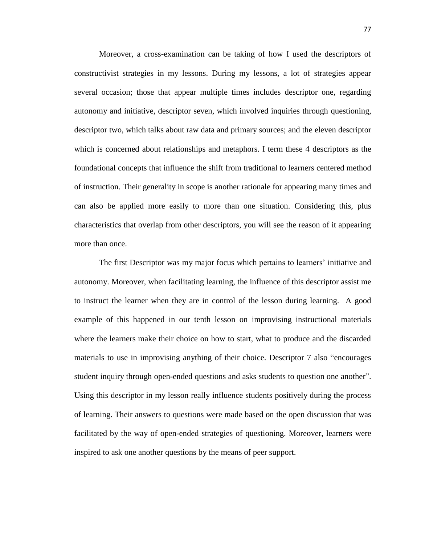Moreover, a cross-examination can be taking of how I used the descriptors of constructivist strategies in my lessons. During my lessons, a lot of strategies appear several occasion; those that appear multiple times includes descriptor one, regarding autonomy and initiative, descriptor seven, which involved inquiries through questioning, descriptor two, which talks about raw data and primary sources; and the eleven descriptor which is concerned about relationships and metaphors. I term these 4 descriptors as the foundational concepts that influence the shift from traditional to learners centered method of instruction. Their generality in scope is another rationale for appearing many times and can also be applied more easily to more than one situation. Considering this, plus characteristics that overlap from other descriptors, you will see the reason of it appearing more than once.

The first Descriptor was my major focus which pertains to learners' initiative and autonomy. Moreover, when facilitating learning, the influence of this descriptor assist me to instruct the learner when they are in control of the lesson during learning. A good example of this happened in our tenth lesson on improvising instructional materials where the learners make their choice on how to start, what to produce and the discarded materials to use in improvising anything of their choice. Descriptor 7 also "encourages student inquiry through open-ended questions and asks students to question one another". Using this descriptor in my lesson really influence students positively during the process of learning. Their answers to questions were made based on the open discussion that was facilitated by the way of open-ended strategies of questioning. Moreover, learners were inspired to ask one another questions by the means of peer support.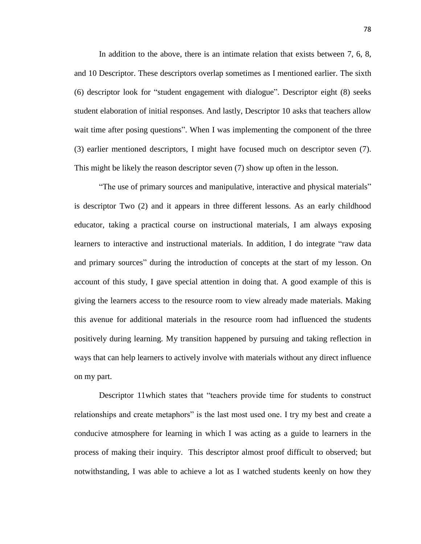In addition to the above, there is an intimate relation that exists between 7, 6, 8, and 10 Descriptor. These descriptors overlap sometimes as I mentioned earlier. The sixth (6) descriptor look for "student engagement with dialogue". Descriptor eight (8) seeks student elaboration of initial responses. And lastly, Descriptor 10 asks that teachers allow wait time after posing questions". When I was implementing the component of the three (3) earlier mentioned descriptors, I might have focused much on descriptor seven (7). This might be likely the reason descriptor seven (7) show up often in the lesson.

"The use of primary sources and manipulative, interactive and physical materials" is descriptor Two (2) and it appears in three different lessons. As an early childhood educator, taking a practical course on instructional materials, I am always exposing learners to interactive and instructional materials. In addition, I do integrate "raw data and primary sources" during the introduction of concepts at the start of my lesson. On account of this study, I gave special attention in doing that. A good example of this is giving the learners access to the resource room to view already made materials. Making this avenue for additional materials in the resource room had influenced the students positively during learning. My transition happened by pursuing and taking reflection in ways that can help learners to actively involve with materials without any direct influence on my part.

Descriptor 11which states that "teachers provide time for students to construct relationships and create metaphors" is the last most used one. I try my best and create a conducive atmosphere for learning in which I was acting as a guide to learners in the process of making their inquiry. This descriptor almost proof difficult to observed; but notwithstanding, I was able to achieve a lot as I watched students keenly on how they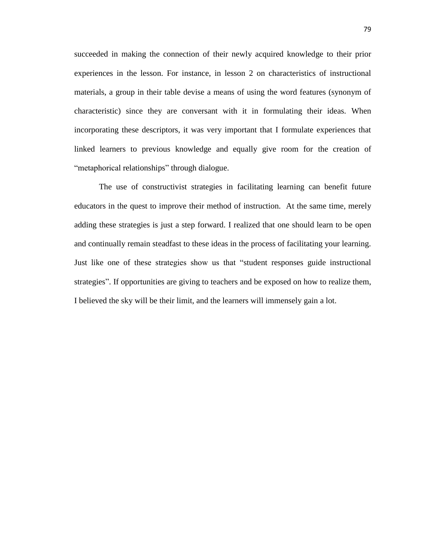succeeded in making the connection of their newly acquired knowledge to their prior experiences in the lesson. For instance, in lesson 2 on characteristics of instructional materials, a group in their table devise a means of using the word features (synonym of characteristic) since they are conversant with it in formulating their ideas. When incorporating these descriptors, it was very important that I formulate experiences that linked learners to previous knowledge and equally give room for the creation of "metaphorical relationships" through dialogue.

The use of constructivist strategies in facilitating learning can benefit future educators in the quest to improve their method of instruction. At the same time, merely adding these strategies is just a step forward. I realized that one should learn to be open and continually remain steadfast to these ideas in the process of facilitating your learning. Just like one of these strategies show us that "student responses guide instructional strategies". If opportunities are giving to teachers and be exposed on how to realize them, I believed the sky will be their limit, and the learners will immensely gain a lot.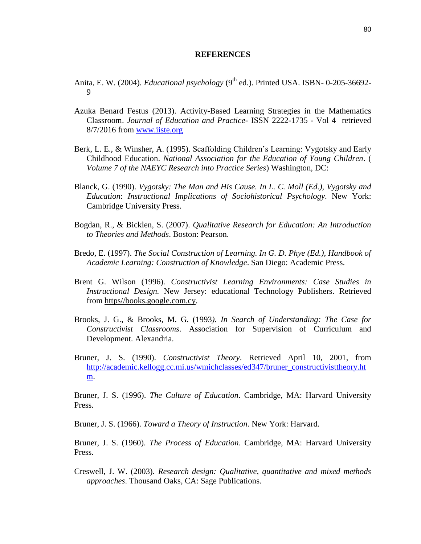### **REFERENCES**

- Anita, E. W. (2004). *Educational psychology* (9<sup>th</sup> ed.). Printed USA. ISBN- 0-205-36692-9
- Azuka Benard Festus (2013). Activity-Based Learning Strategies in the Mathematics Classroom. *Journal of Education and Practice*- ISSN 2222-1735 - Vol 4 retrieved 8/7/2016 from [www.iiste.org](http://www.iiste.org/)
- Berk, L. E., & Winsher, A. (1995). Scaffolding Children's Learning: Vygotsky and Early Childhood Education. *National Association for the Education of Young Children*. ( *Volume 7 of the NAEYC Research into Practice Series*) Washington, DC:
- Blanck, G. (1990). *Vygotsky: The Man and His Cause. In L. C. Moll (Ed.), Vygotsky and Education*: *Instructional Implications of Sociohistorical Psychology*. New York: Cambridge University Press.
- Bogdan, R., & Bicklen, S. (2007). *Qualitative Research for Education: An Introduction to Theories and Methods*. Boston: Pearson.
- Bredo, E. (1997). *The Social Construction of Learning. In G. D. Phye (Ed.), Handbook of Academic Learning: Construction of Knowledge*. San Diego: Academic Press.
- Brent G. Wilson (1996). *Constructivist Learning Environments: Case Studies in Instructional Design.* New Jersey: educational Technology Publishers. Retrieved from https//books.google.com.cy.
- Brooks, J. G., & Brooks, M. G. (1993*). In Search of Understanding: The Case for Constructivist Classrooms*. Association for Supervision of Curriculum and Development. Alexandria.
- Bruner, J. S. (1990). *Constructivist Theory*. Retrieved April 10, 2001, from [http://academic.kellogg.cc.mi.us/wmichclasses/ed347/bruner\\_constructivisttheory.ht](http://academic.kellogg.cc.mi.us/wmichclasses/ed347/bruner_constructivisttheory.htm) [m.](http://academic.kellogg.cc.mi.us/wmichclasses/ed347/bruner_constructivisttheory.htm)

Bruner, J. S. (1996). *The Culture of Education*. Cambridge, MA: Harvard University Press.

Bruner, J. S. (1966). *Toward a Theory of Instruction*. New York: Harvard.

Bruner, J. S. (1960). *The Process of Education*. Cambridge, MA: Harvard University Press.

Creswell, J. W. (2003). *Research design: Qualitative, quantitative and mixed methods approaches*. Thousand Oaks, CA: Sage Publications.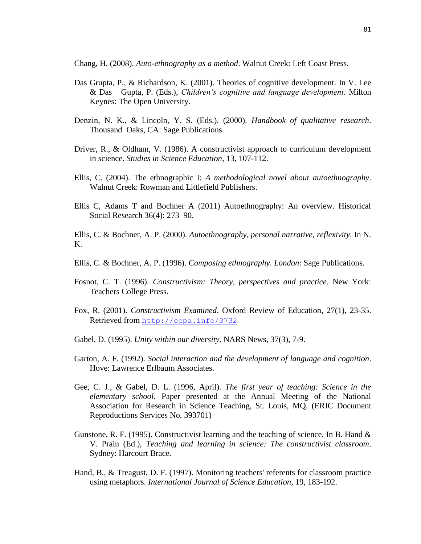Chang, H. (2008). *Auto-ethnography as a method*. Walnut Creek: Left Coast Press.

- Das Grupta, P., & Richardson, K. (2001). Theories of cognitive development. In V. Lee & Das Gupta, P. (Eds.), *Children's cognitive and language development.* Milton Keynes: The Open University.
- Denzin, N. K., & Lincoln, Y. S. (Eds.). (2000). *Handbook of qualitative research*. Thousand Oaks, CA: Sage Publications.
- Driver, R., & Oldham, V. (1986). A constructivist approach to curriculum development in science. *Studies in Science Education,* 13, 107-112.
- Ellis, C. (2004). The ethnographic I: *A methodological novel about autoethnography*. Walnut Creek: Rowman and Littlefield Publishers.
- Ellis C, Adams T and Bochner A (2011) Autoethnography: An overview. Historical Social Research 36(4): 273–90.
- Ellis, C. & Bochner, A. P. (2000). *Autoethnography, personal narrative, reflexivity*. In N. K.
- Ellis, C. & Bochner, A. P. (1996). *Composing ethnography. London*: Sage Publications.
- Fosnot, C. T. (1996). *Constructivism: Theory, perspectives and practice*. New York: Teachers College Press.
- Fox, R. (2001). *Constructivism Examined*. Oxford Review of Education, 27(1), 23-35. Retrieved from <http://cepa.info/3732>
- Gabel, D. (1995). *Unity within our diversity*. NARS News, 37(3), 7-9.
- Garton, A. F. (1992). *Social interaction and the development of language and cognition*. Hove: Lawrence Erlbaum Associates.
- Gee, C. J., & Gabel, D. L. (1996, April). *The first year of teaching: Science in the elementary school.* Paper presented at the Annual Meeting of the National Association for Research in Science Teaching, St. Louis, MQ*.* (ERIC Document Reproductions Services No. 393701)
- Gunstone, R. F. (1995). Constructivist learning and the teaching of science*.* In B. Hand & V. Prain (Ed.), *Teaching and learning in science: The constructivist classroom*. Sydney: Harcourt Brace.
- Hand, B., & Treagust, D. F. (1997). Monitoring teachers' referents for classroom practice using metaphors. *International Journal of Science Education*, 19, 183-192.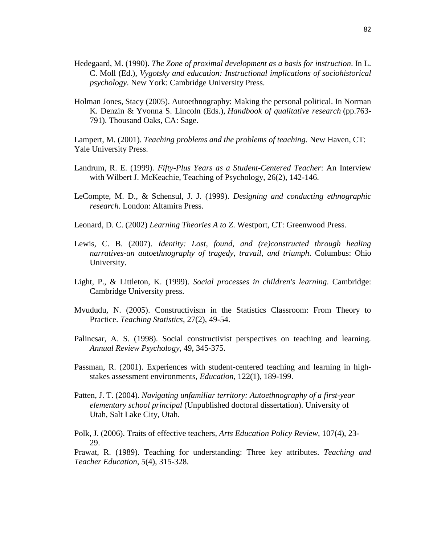- Hedegaard, M. (1990). *The Zone of proximal development as a basis for instruction*. In L. C. Moll (Ed.), *Vygotsky and education: Instructional implications of sociohistorical psychology*. New York: Cambridge University Press.
- Holman Jones, Stacy (2005). Autoethnography: Making the personal political. In Norman K. Denzin & Yvonna S. Lincoln (Eds.), *Handbook of qualitative research* (pp.763- 791). Thousand Oaks, CA: Sage.

Lampert, M. (2001). *Teaching problems and the problems of teaching.* New Haven, CT: Yale University Press.

- Landrum, R. E. (1999). *Fifty-Plus Years as a Student-Centered Teacher*: An Interview with Wilbert J. McKeachie, Teaching of Psychology, 26(2), 142-146.
- LeCompte, M. D., & Schensul, J. J. (1999). *Designing and conducting ethnographic research*. London: Altamira Press.
- Leonard, D. C. (2002) *Learning Theories A to Z*. Westport, CT: Greenwood Press.
- Lewis, C. B. (2007). *Identity: Lost, found, and (re)constructed through healing narratives-an autoethnography of tragedy, travail, and triumph*. Columbus: Ohio University.
- Light, P., & Littleton, K. (1999). *Social processes in children's learning*. Cambridge: Cambridge University press.
- Mvududu, N. (2005). Constructivism in the Statistics Classroom: From Theory to Practice. *Teaching Statistics*, 27(2), 49-54.
- Palincsar, A. S. (1998). Social constructivist perspectives on teaching and learning. *Annual Review Psychology*, 49, 345-375.
- Passman, R. (2001). Experiences with student-centered teaching and learning in highstakes assessment environments, *Education*, 122(1), 189-199.
- Patten, J. T. (2004). *Navigating unfamiliar territory: Autoethnography of a first-year elementary school principal* (Unpublished doctoral dissertation). University of Utah, Salt Lake City, Utah.

Polk, J. (2006). Traits of effective teachers*, Arts Education Policy Review*, 107(4), 23- 29.

Prawat, R. (1989). Teaching for understanding: Three key attributes. *Teaching and Teacher Education*, 5(4), 315-328.